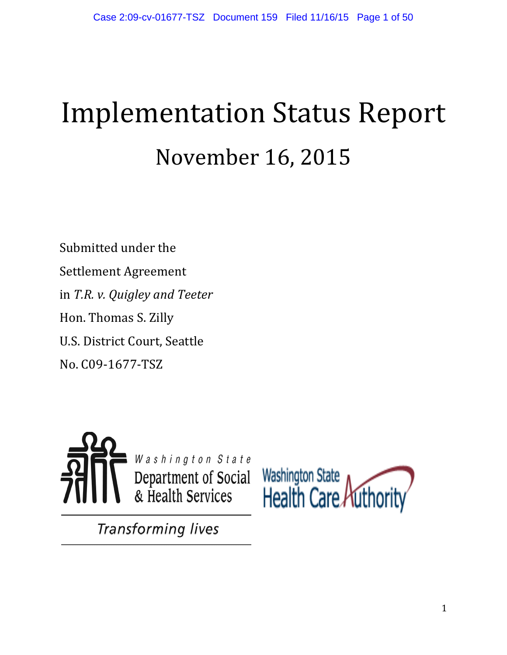# Implementation Status Report November 16, 2015

Submitted under the Settlement Agreement in *T.R. v. Quigley and Teeter* Hon. Thomas S. Zilly U.S. District Court, Seattle No. C09-1677-TSZ





**Transforming lives**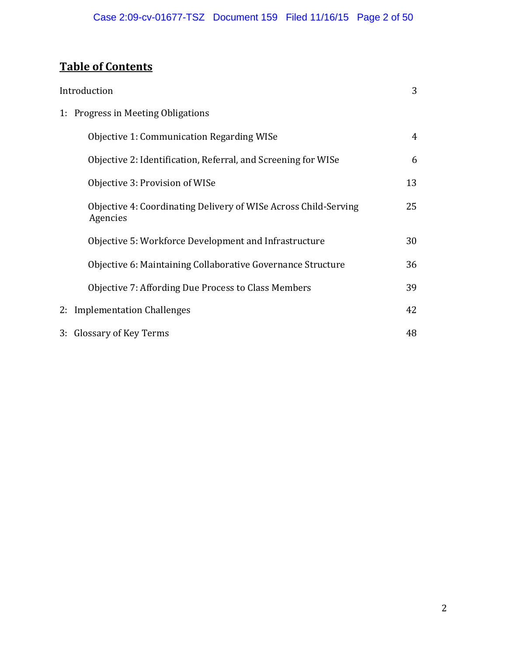# **Table of Contents**

| Introduction                                                                | 3  |
|-----------------------------------------------------------------------------|----|
| 1: Progress in Meeting Obligations                                          |    |
| Objective 1: Communication Regarding WISe                                   | 4  |
| Objective 2: Identification, Referral, and Screening for WISe               | 6  |
| Objective 3: Provision of WISe                                              | 13 |
| Objective 4: Coordinating Delivery of WISe Across Child-Serving<br>Agencies | 25 |
| Objective 5: Workforce Development and Infrastructure                       | 30 |
| Objective 6: Maintaining Collaborative Governance Structure                 | 36 |
| Objective 7: Affording Due Process to Class Members                         | 39 |
| 2: Implementation Challenges                                                | 42 |
| 3: Glossary of Key Terms                                                    | 48 |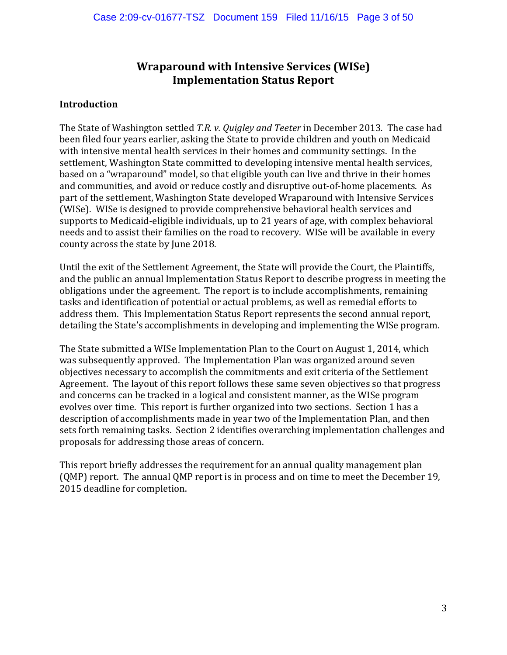# **Wraparound with Intensive Services (WISe) Implementation Status Report**

#### **Introduction**

The State of Washington settled *T.R. v. Quigley and Teeter* in December 2013*.* The case had been filed four years earlier, asking the State to provide children and youth on Medicaid with intensive mental health services in their homes and community settings. In the settlement, Washington State committed to developing intensive mental health services, based on a "wraparound" model, so that eligible youth can live and thrive in their homes and communities, and avoid or reduce costly and disruptive out-of-home placements. As part of the settlement, Washington State developed Wraparound with Intensive Services (WISe). WISe is designed to provide comprehensive behavioral health services and supports to Medicaid-eligible individuals, up to 21 years of age, with complex behavioral needs and to assist their families on the road to recovery. WISe will be available in every county across the state by June 2018.

Until the exit of the Settlement Agreement, the State will provide the Court, the Plaintiffs, and the public an annual Implementation Status Report to describe progress in meeting the obligations under the agreement. The report is to include accomplishments, remaining tasks and identification of potential or actual problems, as well as remedial efforts to address them. This Implementation Status Report represents the second annual report, detailing the State's accomplishments in developing and implementing the WISe program.

The State submitted a WISe Implementation Plan to the Court on August 1, 2014, which was subsequently approved. The Implementation Plan was organized around seven objectives necessary to accomplish the commitments and exit criteria of the Settlement Agreement. The layout of this report follows these same seven objectives so that progress and concerns can be tracked in a logical and consistent manner, as the WISe program evolves over time. This report is further organized into two sections. Section 1 has a description of accomplishments made in year two of the Implementation Plan, and then sets forth remaining tasks. Section 2 identifies overarching implementation challenges and proposals for addressing those areas of concern.

This report briefly addresses the requirement for an annual quality management plan (QMP) report. The annual QMP report is in process and on time to meet the December 19, 2015 deadline for completion.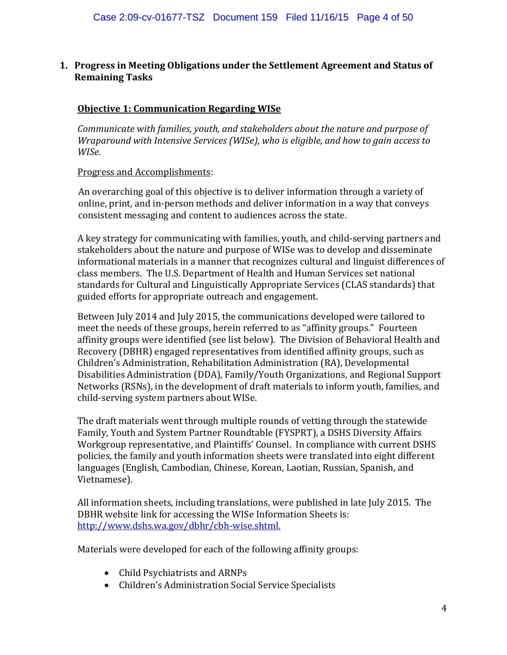#### **1. Progress in Meeting Obligations under the Settlement Agreement and Status of Remaining Tasks**

#### **Objective 1: Communication Regarding WISe**

*Communicate with families, youth, and stakeholders about the nature and purpose of Wraparound with Intensive Services (WISe), who is eligible, and how to gain access to WISe.*

#### Progress and Accomplishments:

An overarching goal of this objective is to deliver information through a variety of online, print, and in-person methods and deliver information in a way that conveys consistent messaging and content to audiences across the state.

A key strategy for communicating with families, youth, and child-serving partners and stakeholders about the nature and purpose of WISe was to develop and disseminate informational materials in a manner that recognizes cultural and linguist differences of class members. The U.S. Department of Health and Human Services set national standards for Cultural and Linguistically Appropriate Services (CLAS standards) that guided efforts for appropriate outreach and engagement.

Between July 2014 and July 2015, the communications developed were tailored to meet the needs of these groups, herein referred to as "affinity groups." Fourteen affinity groups were identified (see list below). The Division of Behavioral Health and Recovery (DBHR) engaged representatives from identified affinity groups, such as Children's Administration, Rehabilitation Administration (RA), Developmental Disabilities Administration (DDA), Family/Youth Organizations, and Regional Support Networks (RSNs), in the development of draft materials to inform youth, families, and child-serving system partners about WISe.

The draft materials went through multiple rounds of vetting through the statewide Family, Youth and System Partner Roundtable (FYSPRT), a DSHS Diversity Affairs Workgroup representative, and Plaintiffs' Counsel. In compliance with current DSHS policies, the family and youth information sheets were translated into eight different languages [\(English,](https://www.dshs.wa.gov/sites/default/files/SESA/publications/documents/22-1594.pdf) [Cambodian,](https://www.dshs.wa.gov/sites/default/files/SESA/publications/documents/22-1594CA.pdf) [Chinese,](https://www.dshs.wa.gov/sites/default/files/SESA/publications/documents/22-1594CH.pdf) [Korean,](https://www.dshs.wa.gov/sites/default/files/SESA/publications/documents/22-1594KO.pdf) [Laotian,](https://www.dshs.wa.gov/sites/default/files/SESA/publications/documents/22-1594LA.pdf) [Russian,](https://www.dshs.wa.gov/sites/default/files/SESA/publications/documents/22-1594RU.pdf) [Spanish,](https://www.dshs.wa.gov/sites/default/files/SESA/publications/documents/22-1594SP.pdf) and [Vietnamese\)](https://www.dshs.wa.gov/sites/default/files/SESA/publications/documents/22-1594VI.pdf).

All information sheets, including translations, were published in late July 2015. The DBHR website link for accessing the WISe Information Sheets is: [http://www.dshs.wa.gov/dbhr/cbh-wise.shtml.](http://www.dshs.wa.gov/dbhr/cbh-wise.shtml)

Materials were developed for each of the following affinity groups:

- [Child Psychiatrists and ARNPs](https://www.dshs.wa.gov/sites/default/files/BHSIA/dbh/Mental%20Health/WISe22-1596-%20Child%20Pyschiatrists%20and%20ARNPs.pdf)
- [Children's Administration Social Service Specialists](https://www.dshs.wa.gov/sites/default/files/BHSIA/dbh/Mental%20Health/WISe22-1606%20-%20CA.pdf)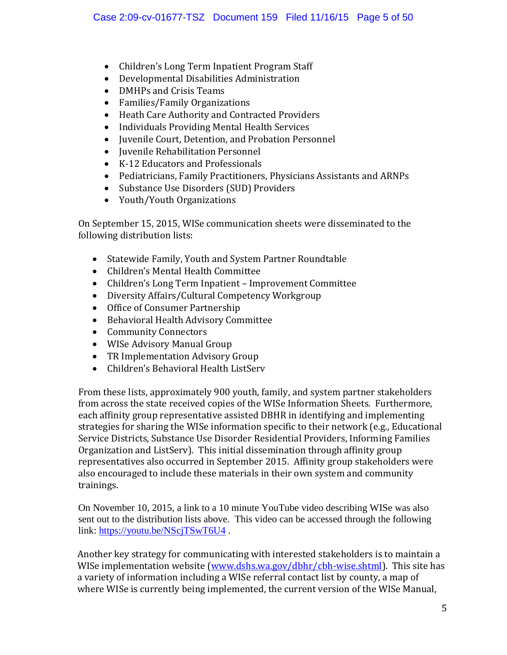- [Children's Long Term Inpatient Program Staff](https://www.dshs.wa.gov/sites/default/files/BHSIA/dbh/Mental%20Health/WISe22-1604%20-%20CLIP.pdf)
- [Developmental Disabilities Administration](https://www.dshs.wa.gov/sites/default/files/BHSIA/dbh/Mental%20Health/WISe22-1598%20-%20DDA.pdf)
- [DMHPs and Crisis Teams](https://www.dshs.wa.gov/sites/default/files/BHSIA/dbh/Mental%20Health/WISe22-1597-%20DMHPs%20and%20Crisis%20Teams.pdf)
- Families/Family Organizations
- [Heath Care Authority and Contracted Providers](https://www.dshs.wa.gov/sites/default/files/BHSIA/dbh/Mental%20Health/WISe22-1599-%20HCA%20Contracted%20Providers.pdf)<br>• Individuals Providing Mental Health Services
- Individuals Providing [Mental Health Services](https://www.dshs.wa.gov/sites/default/files/BHSIA/dbh/Mental%20Health/WISe22-1595-%20Mental%20Health%20Service%20Providers.pdf)
- [Juvenile Court, Detention, and Probation Personnel](https://www.dshs.wa.gov/sites/default/files/BHSIA/dbh/Mental%20Health/WISe22-1605-%20Juvenile%20Court%2C%20Detention%2C%20and%20probation.pdf)
- [Juvenile Rehabilitation Personnel](https://www.dshs.wa.gov/sites/default/files/BHSIA/dbh/Mental%20Health/WISe22-1600-%20JR.pdf)
- [K-12 Educators and Professionals](https://www.dshs.wa.gov/sites/default/files/BHSIA/dbh/Mental%20Health/WISe22-1602-%20K-12.pdf)
- [Pediatricians, Family Practitioners, Physicians Assistants and ARNPs](https://www.dshs.wa.gov/sites/default/files/BHSIA/dbh/Mental%20Health/WISe22-1601-%20Pediatricians%20and%20Family%20Practice.pdf)
- [Substance Use Disorders \(SUD\) Providers](https://www.dshs.wa.gov/sites/default/files/BHSIA/dbh/Mental%20Health/WISe22-1603-%20SUD%20Providers.pdf)
- Youth/Youth Organizations

On September 15, 2015, WISe communication sheets were disseminated to the following distribution lists:

- Statewide Family, Youth and System Partner Roundtable
- Children's Mental Health Committee
- Children's Long Term Inpatient Improvement Committee
- Diversity Affairs/Cultural Competency Workgroup<br>• Office of Consumer Partnershin
- Office of Consumer Partnership
- Behavioral Health Advisory Committee
- Community Connectors
- WISe Advisory Manual Group
- TR Implementation Advisory Group
- Children's Behavioral Health ListServ

From these lists, approximately 900 youth, family, and system partner stakeholders from across the state received copies of the WISe Information Sheets. Furthermore, each affinity group representative assisted DBHR in identifying and implementing strategies for sharing the WISe information specific to their network (e.g., Educational Service Districts, Substance Use Disorder Residential Providers, Informing Families Organization and ListServ). This initial dissemination through affinity group representatives also occurred in September 2015. Affinity group stakeholders were also encouraged to include these materials in their own system and community trainings.

On November 10, 2015, a link to a 10 minute YouTube video describing WISe was also sent out to the distribution lists above. This video can be accessed through the following link:<https://youtu.be/NScjTSwT6U4> .

Another key strategy for communicating with interested stakeholders is to maintain a WISe implementation website [\(www.dshs.wa.gov/dbhr/cbh-wise.shtml\)](http://www.dshs.wa.gov/dbhr/cbh-wise.shtml). This site has a variety of information including a WISe referral contact list by county, a map of where WISe is currently being implemented, the current version of the WISe Manual,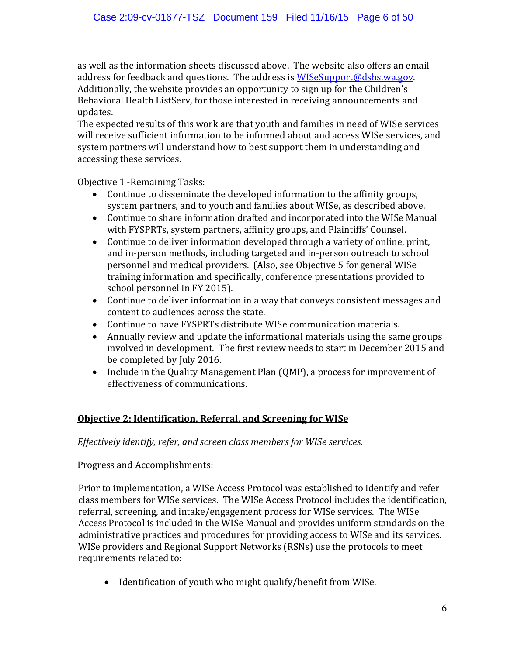as well as the information sheets discussed above. The website also offers an email address for feedback and questions. The address is [WISeSupport@dshs.wa.gov.](mailto:WISeSupport@dshs.wa.gov) Additionally, the website provides an opportunity to sign up for the Children's Behavioral Health ListServ, for those interested in receiving announcements and updates.

The expected results of this work are that youth and families in need of WISe services will receive sufficient information to be informed about and access WISe services, and system partners will understand how to best support them in understanding and accessing these services.

Objective 1 -Remaining Tasks:

- Continue to disseminate the developed information to the affinity groups, system partners, and to youth and families about WISe, as described above.
- Continue to share information drafted and incorporated into the WISe Manual with FYSPRTs, system partners, affinity groups, and Plaintiffs' Counsel.
- Continue to deliver information developed through a variety of online, print, and in-person methods, including targeted and in-person outreach to school personnel and medical providers. (Also, see Objective 5 for general WISe training information and specifically, conference presentations provided to school personnel in FY 2015).
- Continue to deliver information in a way that conveys consistent messages and content to audiences across the state.
- Continue to have FYSPRTs distribute WISe communication materials.<br>• Annually review and update the informational materials using the san
- Annually review and update the informational materials using the same groups involved in development. The first review needs to start in December 2015 and be completed by July 2016.
- Include in the Quality Management Plan (QMP), a process for improvement of effectiveness of communications.

## **Objective 2: Identification, Referral, and Screening for WISe**

*Effectively identify, refer, and screen class members for WISe services.*

#### Progress and Accomplishments:

Prior to implementation, a WISe Access Protocol was established to identify and refer class members for WISe services. The WISe Access Protocol includes the identification, referral, screening, and intake/engagement process for WISe services. The WISe Access Protocol is included in the WISe Manual and provides uniform standards on the administrative practices and procedures for providing access to WISe and its services. WISe providers and Regional Support Networks (RSNs) use the protocols to meet requirements related to:

• Identification of youth who might qualify/benefit from WISe.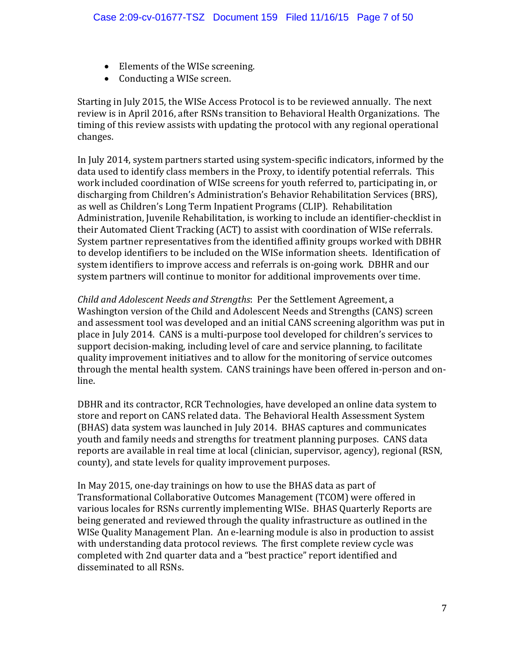- Elements of the WISe screening.
- Conducting a WISe screen.

Starting in July 2015, the WISe Access Protocol is to be reviewed annually. The next review is in April 2016, after RSNs transition to Behavioral Health Organizations. The timing of this review assists with updating the protocol with any regional operational changes.

In July 2014, system partners started using system-specific indicators, informed by the data used to identify class members in the Proxy, to identify potential referrals. This work included coordination of WISe screens for youth referred to, participating in, or discharging from Children's Administration's Behavior Rehabilitation Services (BRS), as well as Children's Long Term Inpatient Programs (CLIP). Rehabilitation Administration, Juvenile Rehabilitation, is working to include an identifier-checklist in their Automated Client Tracking (ACT) to assist with coordination of WISe referrals. System partner representatives from the identified affinity groups worked with DBHR to develop identifiers to be included on the WISe information sheets. Identification of system identifiers to improve access and referrals is on-going work. DBHR and our system partners will continue to monitor for additional improvements over time.

*Child and Adolescent Needs and Strengths*: Per the Settlement Agreement, a Washington version of the Child and Adolescent Needs and Strengths (CANS) screen and assessment tool was developed and an initial CANS screening algorithm was put in place in July 2014. CANS is a multi-purpose tool developed for children's services to support decision-making, including level of care and service planning, to facilitate quality improvement initiatives and to allow for the monitoring of service outcomes through the mental health system. CANS trainings have been offered in-person and online.

DBHR and its contractor, RCR Technologies, have developed an online data system to store and report on CANS related data. The Behavioral Health Assessment System (BHAS) data system was launched in July 2014. BHAS captures and communicates youth and family needs and strengths for treatment planning purposes. CANS data reports are available in real time at local (clinician, supervisor, agency), regional (RSN, county), and state levels for quality improvement purposes.

In May 2015, one-day trainings on how to use the BHAS data as part of Transformational Collaborative Outcomes Management (TCOM) were offered in various locales for RSNs currently implementing WISe. BHAS Quarterly Reports are being generated and reviewed through the quality infrastructure as outlined in the WISe Quality Management Plan. An e-learning module is also in production to assist with understanding data protocol reviews. The first complete review cycle was completed with 2nd quarter data and a "best practice" report identified and disseminated to all RSNs.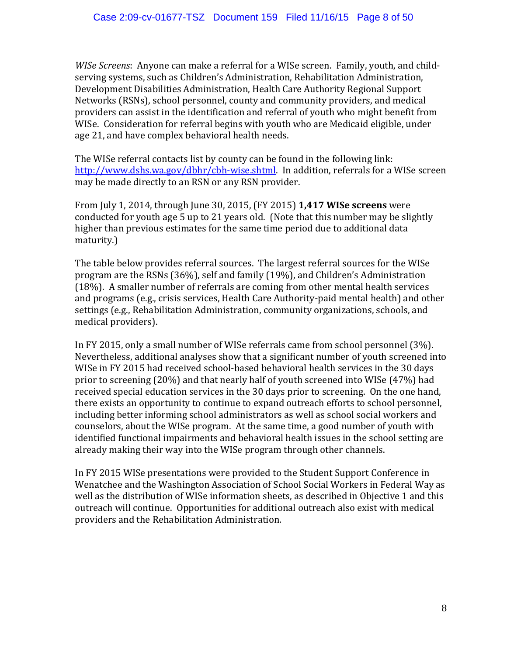*WISe Screens*: Anyone can make a referral for a WISe screen. Family, youth, and childserving systems, such as Children's Administration, Rehabilitation Administration, Development Disabilities Administration, Health Care Authority Regional Support Networks (RSNs), school personnel, county and community providers, and medical providers can assist in the identification and referral of youth who might benefit from WISe. Consideration for referral begins with youth who are Medicaid eligible, under age 21, and have complex behavioral health needs.

The WISe referral contacts list by county can be found in the following link: [http://www.dshs.wa.gov/dbhr/cbh-wise.shtml.](http://www.dshs.wa.gov/dbhr/cbh-wise.shtml) In addition, referrals for a WISe screen may be made directly to an RSN or any RSN provider.

From July 1, 2014, through June 30, 2015, (FY 2015) **1,417 WISe screens** were conducted for youth age 5 up to 21 years old. (Note that this number may be slightly higher than previous estimates for the same time period due to additional data maturity.)

The table below provides referral sources. The largest referral sources for the WISe program are the RSNs (36%), self and family (19%), and Children's Administration (18%). A smaller number of referrals are coming from other mental health services and programs (e.g., crisis services, Health Care Authority-paid mental health) and other settings (e.g., Rehabilitation Administration, community organizations, schools, and medical providers).

In FY 2015, only a small number of WISe referrals came from school personnel (3%). Nevertheless, additional analyses show that a significant number of youth screened into WISe in FY 2015 had received school-based behavioral health services in the 30 days prior to screening (20%) and that nearly half of youth screened into WISe (47%) had received special education services in the 30 days prior to screening. On the one hand, there exists an opportunity to continue to expand outreach efforts to school personnel, including better informing school administrators as well as school social workers and counselors, about the WISe program. At the same time, a good number of youth with identified functional impairments and behavioral health issues in the school setting are already making their way into the WISe program through other channels.

In FY 2015 WISe presentations were provided to the Student Support Conference in Wenatchee and the Washington Association of School Social Workers in Federal Way as well as the distribution of WISe information sheets, as described in Objective 1 and this outreach will continue. Opportunities for additional outreach also exist with medical providers and the Rehabilitation Administration.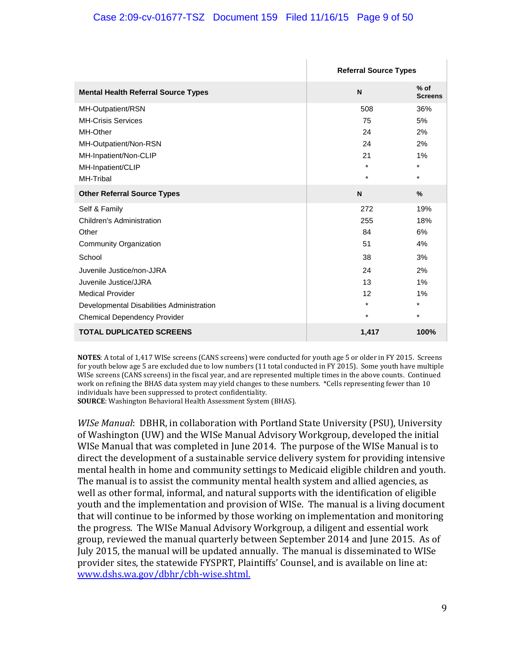#### Case 2:09-cv-01677-TSZ Document 159 Filed 11/16/15 Page 9 of 50

|                                            | <b>Referral Source Types</b> |                          |
|--------------------------------------------|------------------------------|--------------------------|
| <b>Mental Health Referral Source Types</b> | N                            | $%$ of<br><b>Screens</b> |
| MH-Outpatient/RSN                          | 508                          | 36%                      |
| <b>MH-Crisis Services</b>                  | 75                           | 5%                       |
| MH-Other                                   | 24                           | 2%                       |
| MH-Outpatient/Non-RSN                      | 24                           | 2%                       |
| MH-Inpatient/Non-CLIP                      | 21                           | 1%                       |
| MH-Inpatient/CLIP                          | $\star$                      | $\star$                  |
| MH-Tribal                                  | $\star$                      | $\star$                  |
| <b>Other Referral Source Types</b>         | N                            | $\frac{9}{6}$            |
| Self & Family                              | 272                          | 19%                      |
| Children's Administration                  | 255                          | 18%                      |
| Other                                      | 84                           | 6%                       |
| Community Organization                     | 51                           | 4%                       |
| School                                     | 38                           | 3%                       |
| Juvenile Justice/non-JJRA                  | 24                           | 2%                       |
| Juvenile Justice/JJRA                      | 13                           | 1%                       |
| <b>Medical Provider</b>                    | 12                           | 1%                       |
| Developmental Disabilities Administration  | $\star$                      | $\star$                  |
| <b>Chemical Dependency Provider</b>        | $\star$                      | $\star$                  |
| <b>TOTAL DUPLICATED SCREENS</b>            | 1,417                        | 100%                     |

**NOTES**: A total of 1,417 WISe screens (CANS screens) were conducted for youth age 5 or older in FY 2015. Screens for youth below age 5 are excluded due to low numbers (11 total conducted in FY 2015). Some youth have multiple WISe screens (CANS screens) in the fiscal year, and are represented multiple times in the above counts. Continued work on refining the BHAS data system may yield changes to these numbers. \*Cells representing fewer than 10 individuals have been suppressed to protect confidentiality.

**SOURCE**: Washington Behavioral Health Assessment System (BHAS).

*WISe Manual*: DBHR, in collaboration with Portland State University (PSU), University of Washington (UW) and the WISe Manual Advisory Workgroup, developed the initial WISe Manual that was completed in June 2014. The purpose of the WISe Manual is to direct the development of a sustainable service delivery system for providing intensive mental health in home and community settings to Medicaid eligible children and youth. The manual is to assist the community mental health system and allied agencies, as well as other formal, informal, and natural supports with the identification of eligible youth and the implementation and provision of WISe. The manual is a living document that will continue to be informed by those working on implementation and monitoring the progress. The WISe Manual Advisory Workgroup, a diligent and essential work group, reviewed the manual quarterly between September 2014 and June 2015. As of July 2015, the manual will be updated annually. The manual is disseminated to WISe provider sites, the statewide FYSPRT, Plaintiffs' Counsel, and is available on line at: [www.dshs.wa.gov/dbhr/cbh-wise.shtml.](http://www.dshs.wa.gov/dbhr/cbh-wise.shtml)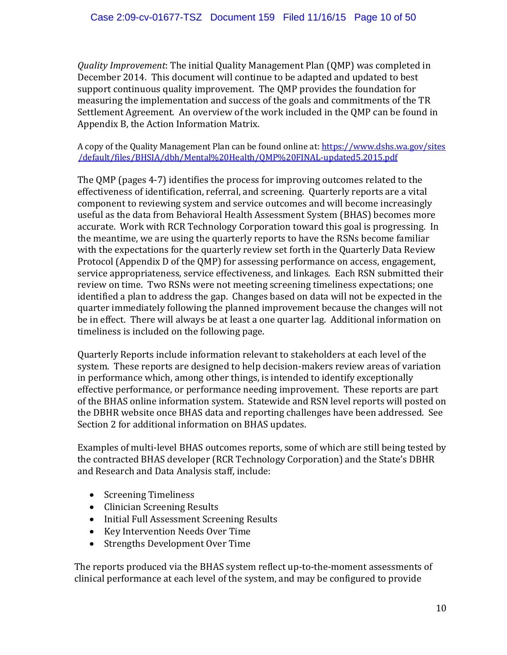*Quality Improvement*: The initial Quality Management Plan (QMP) was completed in December 2014. This document will continue to be adapted and updated to best support continuous quality improvement. The QMP provides the foundation for measuring the implementation and success of the goals and commitments of the TR Settlement Agreement. An overview of the work included in the QMP can be found in Appendix B, the Action Information Matrix.

A copy of the Quality Management Plan can be found online at[: https://www.dshs.wa.gov/sites](https://www.dshs.wa.gov/sites/default/files/BHSIA/dbh/Mental%20Health/QMP%20FINAL-updated5.2015.pdf) [/default/files/BHSIA/dbh/Mental%20Health/QMP%20FINAL-updated5.2015.pdf](https://www.dshs.wa.gov/sites/default/files/BHSIA/dbh/Mental%20Health/QMP%20FINAL-updated5.2015.pdf)

The QMP (pages 4-7) identifies the process for improving outcomes related to the effectiveness of identification, referral, and screening. Quarterly reports are a vital component to reviewing system and service outcomes and will become increasingly useful as the data from Behavioral Health Assessment System (BHAS) becomes more accurate. Work with RCR Technology Corporation toward this goal is progressing. In the meantime, we are using the quarterly reports to have the RSNs become familiar with the expectations for the quarterly review set forth in the Quarterly Data Review Protocol (Appendix D of the QMP) for assessing performance on access, engagement, service appropriateness, service effectiveness, and linkages. Each RSN submitted their review on time. Two RSNs were not meeting screening timeliness expectations; one identified a plan to address the gap. Changes based on data will not be expected in the quarter immediately following the planned improvement because the changes will not be in effect. There will always be at least a one quarter lag. Additional information on timeliness is included on the following page.

Quarterly Reports include information relevant to stakeholders at each level of the system. These reports are designed to help decision-makers review areas of variation in performance which, among other things, is intended to identify exceptionally effective performance, or performance needing improvement. These reports are part of the BHAS online information system. Statewide and RSN level reports will posted on the DBHR website once BHAS data and reporting challenges have been addressed. See Section 2 for additional information on BHAS updates.

Examples of multi-level BHAS outcomes reports, some of which are still being tested by the contracted BHAS developer (RCR Technology Corporation) and the State's DBHR and Research and Data Analysis staff, include:

- Screening Timeliness
- Clinician Screening Results
- Initial Full Assessment Screening Results
- Key Intervention Needs Over Time
- Strengths Development Over Time

The reports produced via the BHAS system reflect up-to-the-moment assessments of clinical performance at each level of the system, and may be configured to provide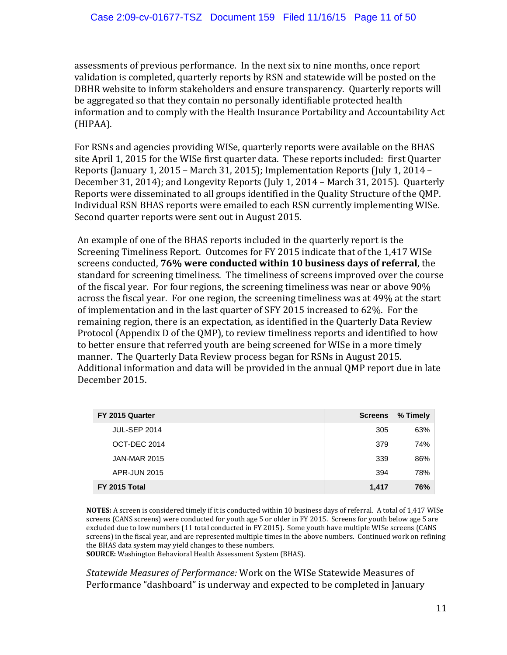assessments of previous performance. In the next six to nine months, once report validation is completed, quarterly reports by RSN and statewide will be posted on the DBHR website to inform stakeholders and ensure transparency. Quarterly reports will be aggregated so that they contain no personally identifiable protected health information and to comply with the Health Insurance Portability and Accountability Act (HIPAA).

For RSNs and agencies providing WISe, quarterly reports were available on the BHAS site April 1, 2015 for the WISe first quarter data. These reports included: first Quarter Reports (January 1, 2015 – March 31, 2015); Implementation Reports (July 1, 2014 – December 31, 2014); and Longevity Reports (July 1, 2014 – March 31, 2015). Quarterly Reports were disseminated to all groups identified in the Quality Structure of the QMP. Individual RSN BHAS reports were emailed to each RSN currently implementing WISe. Second quarter reports were sent out in August 2015.

An example of one of the BHAS reports included in the quarterly report is the Screening Timeliness Report. Outcomes for FY 2015 indicate that of the 1,417 WISe screens conducted, **76% were conducted within 10 business days of referral**, the standard for screening timeliness. The timeliness of screens improved over the course of the fiscal year. For four regions, the screening timeliness was near or above 90% across the fiscal year. For one region, the screening timeliness was at 49% at the start of implementation and in the last quarter of SFY 2015 increased to 62%. For the remaining region, there is an expectation, as identified in the Quarterly Data Review Protocol (Appendix D of the QMP), to review timeliness reports and identified to how to better ensure that referred youth are being screened for WISe in a more timely manner. The Quarterly Data Review process began for RSNs in August 2015. Additional information and data will be provided in the annual QMP report due in late December 2015.

| FY 2015 Quarter     | <b>Screens</b> | % Timely |
|---------------------|----------------|----------|
| <b>JUL-SEP 2014</b> | 305            | 63%      |
| OCT-DEC 2014        | 379            | 74%      |
| <b>JAN-MAR 2015</b> | 339            | 86%      |
| <b>APR-JUN 2015</b> | 394            | 78%      |
| FY 2015 Total       | 1,417          | 76%      |

**NOTES:** A screen is considered timely if it is conducted within 10 business days of referral. A total of 1,417 WISe screens (CANS screens) were conducted for youth age 5 or older in FY 2015. Screens for youth below age 5 are excluded due to low numbers (11 total conducted in FY 2015). Some youth have multiple WISe screens (CANS screens) in the fiscal year, and are represented multiple times in the above numbers. Continued work on refining the BHAS data system may yield changes to these numbers.

**SOURCE:** Washington Behavioral Health Assessment System (BHAS).

*Statewide Measures of Performance:* Work on the WISe Statewide Measures of Performance "dashboard" is underway and expected to be completed in January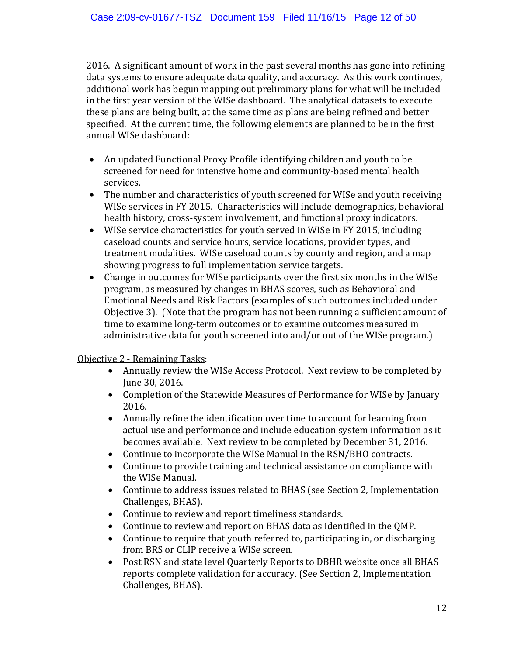2016. A significant amount of work in the past several months has gone into refining data systems to ensure adequate data quality, and accuracy. As this work continues, additional work has begun mapping out preliminary plans for what will be included in the first year version of the WISe dashboard. The analytical datasets to execute these plans are being built, at the same time as plans are being refined and better specified. At the current time, the following elements are planned to be in the first annual WISe dashboard:

- An updated Functional Proxy Profile identifying children and youth to be screened for need for intensive home and community-based mental health services.
- The number and characteristics of youth screened for WISe and youth receiving WISe services in FY 2015. Characteristics will include demographics, behavioral health history, cross-system involvement, and functional proxy indicators.
- WISe service characteristics for youth served in WISe in FY 2015, including caseload counts and service hours, service locations, provider types, and treatment modalities. WISe caseload counts by county and region, and a map showing progress to full implementation service targets.
- Change in outcomes for WISe participants over the first six months in the WISe program, as measured by changes in BHAS scores, such as Behavioral and Emotional Needs and Risk Factors (examples of such outcomes included under Objective 3). (Note that the program has not been running a sufficient amount of time to examine long-term outcomes or to examine outcomes measured in administrative data for youth screened into and/or out of the WISe program.)

#### Objective 2 - Remaining Tasks:

- Annually review the WISe Access Protocol. Next review to be completed by June 30, 2016.
- Completion of the Statewide Measures of Performance for WISe by January 2016.
- Annually refine the identification over time to account for learning from actual use and performance and include education system information as it becomes available. Next review to be completed by December 31, 2016.
- Continue to incorporate the WISe Manual in the RSN/BHO contracts.
- Continue to provide training and technical assistance on compliance with the WISe Manual.
- Continue to address issues related to BHAS (see Section 2, Implementation Challenges, BHAS).
- Continue to review and report timeliness standards.
- Continue to review and report on BHAS data as identified in the QMP.
- Continue to require that youth referred to, participating in, or discharging from BRS or CLIP receive a WISe screen.
- Post RSN and state level Quarterly Reports to DBHR website once all BHAS reports complete validation for accuracy. (See Section 2, Implementation Challenges, BHAS).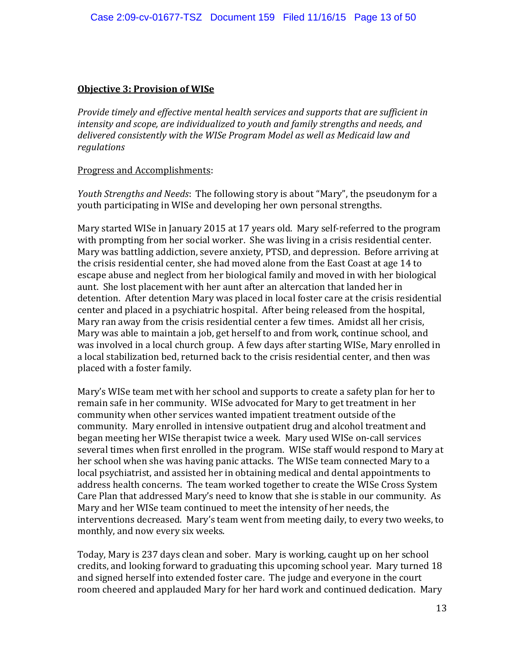#### **Objective 3: Provision of WISe**

*Provide timely and effective mental health services and supports that are sufficient in intensity and scope, are individualized to youth and family strengths and needs, and delivered consistently with the WISe Program Model as well as Medicaid law and regulations*

#### Progress and Accomplishments:

*Youth Strengths and Needs*: The following story is about "Mary", the pseudonym for a youth participating in WISe and developing her own personal strengths.

Mary started WISe in January 2015 at 17 years old. Mary self-referred to the program with prompting from her social worker. She was living in a crisis residential center. Mary was battling addiction, severe anxiety, PTSD, and depression. Before arriving at the crisis residential center, she had moved alone from the East Coast at age 14 to escape abuse and neglect from her biological family and moved in with her biological aunt. She lost placement with her aunt after an altercation that landed her in detention. After detention Mary was placed in local foster care at the crisis residential center and placed in a psychiatric hospital. After being released from the hospital, Mary ran away from the crisis residential center a few times. Amidst all her crisis, Mary was able to maintain a job, get herself to and from work, continue school, and was involved in a local church group. A few days after starting WISe, Mary enrolled in a local stabilization bed, returned back to the crisis residential center, and then was placed with a foster family.

Mary's WISe team met with her school and supports to create a safety plan for her to remain safe in her community. WISe advocated for Mary to get treatment in her community when other services wanted impatient treatment outside of the community. Mary enrolled in intensive outpatient drug and alcohol treatment and began meeting her WISe therapist twice a week. Mary used WISe on-call services several times when first enrolled in the program. WISe staff would respond to Mary at her school when she was having panic attacks. The WISe team connected Mary to a local psychiatrist, and assisted her in obtaining medical and dental appointments to address health concerns. The team worked together to create the WISe Cross System Care Plan that addressed Mary's need to know that she is stable in our community. As Mary and her WISe team continued to meet the intensity of her needs, the interventions decreased. Mary's team went from meeting daily, to every two weeks, to monthly, and now every six weeks.

Today, Mary is 237 days clean and sober. Mary is working, caught up on her school credits, and looking forward to graduating this upcoming school year. Mary turned 18 and signed herself into extended foster care. The judge and everyone in the court room cheered and applauded Mary for her hard work and continued dedication. Mary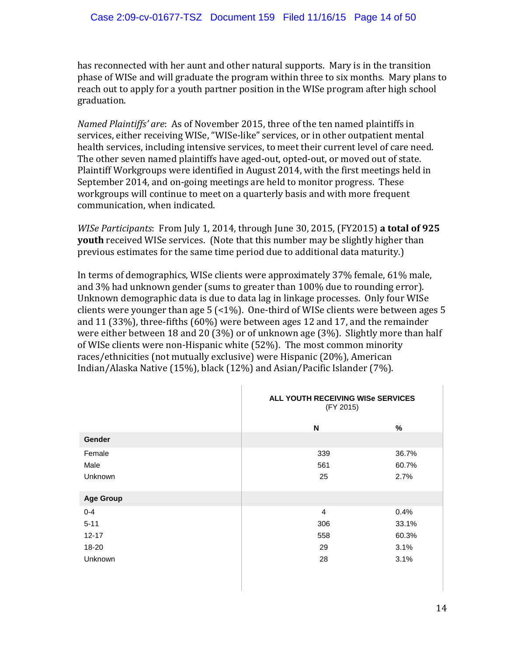has reconnected with her aunt and other natural supports. Mary is in the transition phase of WISe and will graduate the program within three to six months. Mary plans to reach out to apply for a youth partner position in the WISe program after high school graduation.

*Named Plaintiffs' are*: As of November 2015, three of the ten named plaintiffs in services, either receiving WISe, "WISe-like" services, or in other outpatient mental health services, including intensive services, to meet their current level of care need. The other seven named plaintiffs have aged-out, opted-out, or moved out of state. Plaintiff Workgroups were identified in August 2014, with the first meetings held in September 2014, and on-going meetings are held to monitor progress. These workgroups will continue to meet on a quarterly basis and with more frequent communication, when indicated.

*WISe Participants*: From July 1, 2014, through June 30, 2015, (FY2015) **a total of 925 youth** received WISe services. (Note that this number may be slightly higher than previous estimates for the same time period due to additional data maturity.)

In terms of demographics, WISe clients were approximately 37% female, 61% male, and 3% had unknown gender (sums to greater than 100% due to rounding error). Unknown demographic data is due to data lag in linkage processes. Only four WISe clients were younger than age  $5$  (<1%). One-third of WISe clients were between ages  $5$ and 11 (33%), three-fifths (60%) were between ages 12 and 17, and the remainder were either between 18 and 20 (3%) or of unknown age (3%). Slightly more than half of WISe clients were non-Hispanic white (52%). The most common minority races/ethnicities (not mutually exclusive) were Hispanic (20%), American Indian/Alaska Native (15%), black (12%) and Asian/Pacific Islander (7%).

|                  | ALL YOUTH RECEIVING WISe SERVICES<br>(FY 2015) |       |
|------------------|------------------------------------------------|-------|
|                  | N                                              | %     |
| <b>Gender</b>    |                                                |       |
| Female           | 339                                            | 36.7% |
| Male             | 561                                            | 60.7% |
| Unknown          | 25                                             | 2.7%  |
| <b>Age Group</b> |                                                |       |
| $0 - 4$          | $\overline{4}$                                 | 0.4%  |
| $5 - 11$         | 306                                            | 33.1% |
| $12 - 17$        | 558                                            | 60.3% |
| 18-20            | 29                                             | 3.1%  |
| Unknown          | 28                                             | 3.1%  |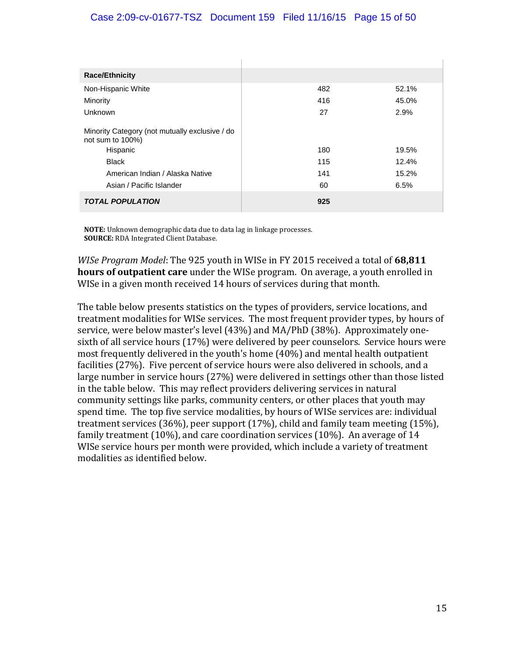#### Case 2:09-cv-01677-TSZ Document 159 Filed 11/16/15 Page 15 of 50

| <b>Race/Ethnicity</b>                                                                                                                                         |                         |                                 |
|---------------------------------------------------------------------------------------------------------------------------------------------------------------|-------------------------|---------------------------------|
| Non-Hispanic White                                                                                                                                            | 482                     | 52.1%                           |
| Minority                                                                                                                                                      | 416                     | 45.0%                           |
| Unknown                                                                                                                                                       | 27                      | 2.9%                            |
| Minority Category (not mutually exclusive / do<br>not sum to 100%)<br>Hispanic<br><b>Black</b><br>American Indian / Alaska Native<br>Asian / Pacific Islander | 180<br>115<br>141<br>60 | 19.5%<br>12.4%<br>15.2%<br>6.5% |
| <b>TOTAL POPULATION</b>                                                                                                                                       | 925                     |                                 |

**NOTE:** Unknown demographic data due to data lag in linkage processes. **SOURCE:** RDA Integrated Client Database.

*WISe Program Model*: The 925 youth in WISe in FY 2015 received a total of **68,811 hours of outpatient care** under the WISe program. On average, a youth enrolled in WISe in a given month received 14 hours of services during that month.

The table below presents statistics on the types of providers, service locations, and treatment modalities for WISe services. The most frequent provider types, by hours of service, were below master's level (43%) and MA/PhD (38%). Approximately onesixth of all service hours (17%) were delivered by peer counselors. Service hours were most frequently delivered in the youth's home (40%) and mental health outpatient facilities (27%). Five percent of service hours were also delivered in schools, and a large number in service hours (27%) were delivered in settings other than those listed in the table below. This may reflect providers delivering services in natural community settings like parks, community centers, or other places that youth may spend time. The top five service modalities, by hours of WISe services are: individual treatment services (36%), peer support (17%), child and family team meeting (15%), family treatment (10%), and care coordination services (10%). An average of 14 WISe service hours per month were provided, which include a variety of treatment modalities as identified below.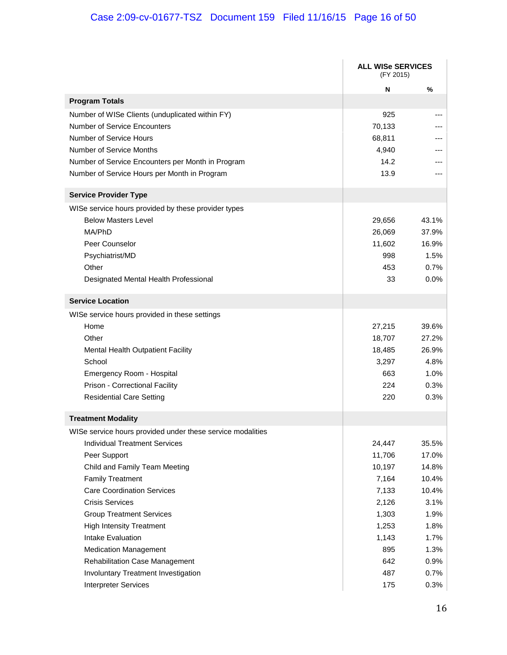# Case 2:09-cv-01677-TSZ Document 159 Filed 11/16/15 Page 16 of 50

|                                                            | <b>ALL WISe SERVICES</b><br>(FY 2015) |       |
|------------------------------------------------------------|---------------------------------------|-------|
|                                                            | N                                     | %     |
| <b>Program Totals</b>                                      |                                       |       |
| Number of WISe Clients (unduplicated within FY)            | 925                                   |       |
| <b>Number of Service Encounters</b>                        | 70,133                                |       |
| Number of Service Hours                                    | 68,811                                |       |
| Number of Service Months                                   | 4,940                                 |       |
| Number of Service Encounters per Month in Program          | 14.2                                  |       |
| Number of Service Hours per Month in Program               | 13.9                                  |       |
| <b>Service Provider Type</b>                               |                                       |       |
| WISe service hours provided by these provider types        |                                       |       |
| <b>Below Masters Level</b>                                 | 29,656                                | 43.1% |
| MA/PhD                                                     | 26,069                                | 37.9% |
| Peer Counselor                                             | 11,602                                | 16.9% |
| Psychiatrist/MD                                            | 998                                   | 1.5%  |
| Other                                                      | 453                                   | 0.7%  |
| Designated Mental Health Professional                      | 33                                    | 0.0%  |
| <b>Service Location</b>                                    |                                       |       |
| WISe service hours provided in these settings              |                                       |       |
| Home                                                       | 27,215                                | 39.6% |
| Other                                                      | 18,707                                | 27.2% |
| Mental Health Outpatient Facility                          | 18,485                                | 26.9% |
| School                                                     | 3,297                                 | 4.8%  |
| Emergency Room - Hospital                                  | 663                                   | 1.0%  |
| Prison - Correctional Facility                             | 224                                   | 0.3%  |
| <b>Residential Care Setting</b>                            | 220                                   | 0.3%  |
| <b>Treatment Modality</b>                                  |                                       |       |
| WISe service hours provided under these service modalities |                                       |       |
| <b>Individual Treatment Services</b>                       | 24,447                                | 35.5% |
| Peer Support                                               | 11,706                                | 17.0% |
| Child and Family Team Meeting                              | 10,197                                | 14.8% |
| <b>Family Treatment</b>                                    | 7,164                                 | 10.4% |
| <b>Care Coordination Services</b>                          | 7,133                                 | 10.4% |
| <b>Crisis Services</b>                                     | 2,126                                 | 3.1%  |
| <b>Group Treatment Services</b>                            | 1,303                                 | 1.9%  |
| <b>High Intensity Treatment</b>                            | 1,253                                 | 1.8%  |
| Intake Evaluation                                          | 1,143                                 | 1.7%  |
| <b>Medication Management</b>                               | 895                                   | 1.3%  |
| <b>Rehabilitation Case Management</b>                      | 642                                   | 0.9%  |
| Involuntary Treatment Investigation                        | 487                                   | 0.7%  |
| <b>Interpreter Services</b>                                | 175                                   | 0.3%  |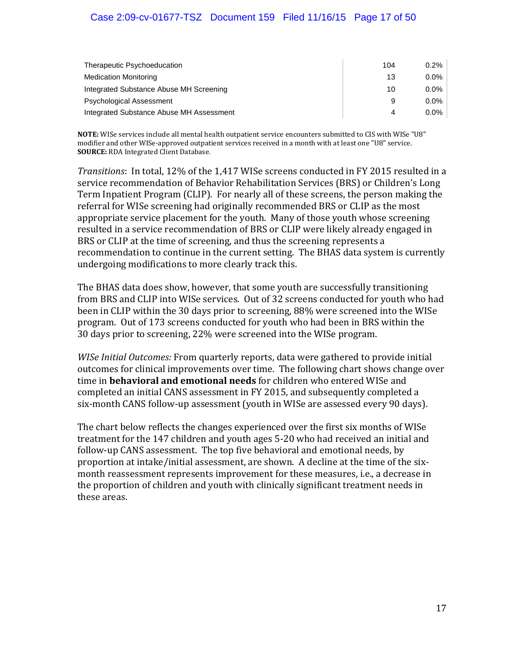#### Case 2:09-cv-01677-TSZ Document 159 Filed 11/16/15 Page 17 of 50

| Therapeutic Psychoeducation              | 104 | $0.2\%$ |
|------------------------------------------|-----|---------|
| <b>Medication Monitoring</b>             | 13  | $0.0\%$ |
| Integrated Substance Abuse MH Screening  | 10  | $0.0\%$ |
| <b>Psychological Assessment</b>          | 9   | $0.0\%$ |
| Integrated Substance Abuse MH Assessment | 4   | $0.0\%$ |

**NOTE:** WISe services include all mental health outpatient service encounters submitted to CIS with WISe "U8" modifier and other WISe-approved outpatient services received in a month with at least one "U8" service. **SOURCE:** RDA Integrated Client Database.

*Transitions*: In total, 12% of the 1,417 WISe screens conducted in FY 2015 resulted in a service recommendation of Behavior Rehabilitation Services (BRS) or Children's Long Term Inpatient Program (CLIP). For nearly all of these screens, the person making the referral for WISe screening had originally recommended BRS or CLIP as the most appropriate service placement for the youth. Many of those youth whose screening resulted in a service recommendation of BRS or CLIP were likely already engaged in BRS or CLIP at the time of screening, and thus the screening represents a recommendation to continue in the current setting. The BHAS data system is currently undergoing modifications to more clearly track this.

The BHAS data does show, however, that some youth are successfully transitioning from BRS and CLIP into WISe services. Out of 32 screens conducted for youth who had been in CLIP within the 30 days prior to screening, 88% were screened into the WISe program. Out of 173 screens conducted for youth who had been in BRS within the 30 days prior to screening, 22% were screened into the WISe program.

*WISe Initial Outcomes:* From quarterly reports, data were gathered to provide initial outcomes for clinical improvements over time. The following chart shows change over time in **behavioral and emotional needs** for children who entered WISe and completed an initial CANS assessment in FY 2015, and subsequently completed a six-month CANS follow-up assessment (youth in WISe are assessed every 90 days).

The chart below reflects the changes experienced over the first six months of WISe treatment for the 147 children and youth ages 5-20 who had received an initial and follow-up CANS assessment. The top five behavioral and emotional needs, by proportion at intake/initial assessment, are shown. A decline at the time of the sixmonth reassessment represents improvement for these measures, i.e., a decrease in the proportion of children and youth with clinically significant treatment needs in these areas.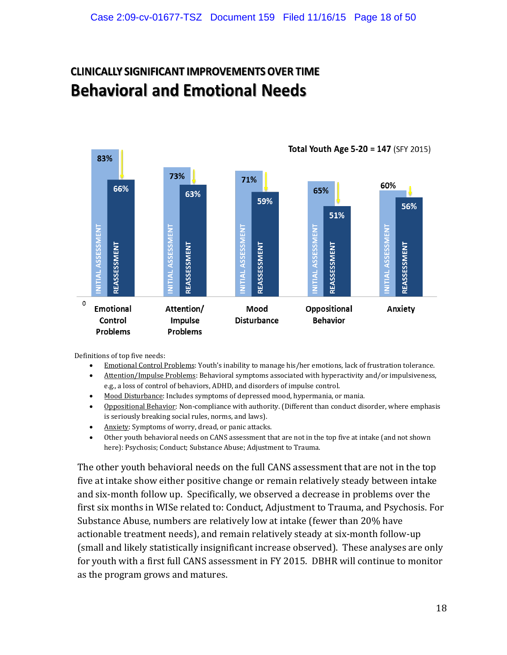# **CLINICALLY SIGNIFICANT IMPROVEMENTS OVER TIME Behavioral and Emotional Needs**



Definitions of top five needs:

- Emotional Control Problems: Youth's inability to manage his/her emotions, lack of frustration tolerance.
- Attention/Impulse Problems: Behavioral symptoms associated with hyperactivity and/or impulsiveness, e.g., a loss of control of behaviors, ADHD, and disorders of impulse control.
- Mood Disturbance: Includes symptoms of depressed mood, hypermania, or mania.
- Oppositional Behavior: Non-compliance with authority. (Different than conduct disorder, where emphasis is seriously breaking social rules, norms, and laws).
- Anxiety: Symptoms of worry, dread, or panic attacks.
- Other youth behavioral needs on CANS assessment that are not in the top five at intake (and not shown here): Psychosis; Conduct; Substance Abuse; Adjustment to Trauma.

The other youth behavioral needs on the full CANS assessment that are not in the top five at intake show either positive change or remain relatively steady between intake and six-month follow up. Specifically, we observed a decrease in problems over the first six months in WISe related to: Conduct, Adjustment to Trauma, and Psychosis. For Substance Abuse, numbers are relatively low at intake (fewer than 20% have actionable treatment needs), and remain relatively steady at six-month follow-up (small and likely statistically insignificant increase observed). These analyses are only for youth with a first full CANS assessment in FY 2015. DBHR will continue to monitor as the program grows and matures.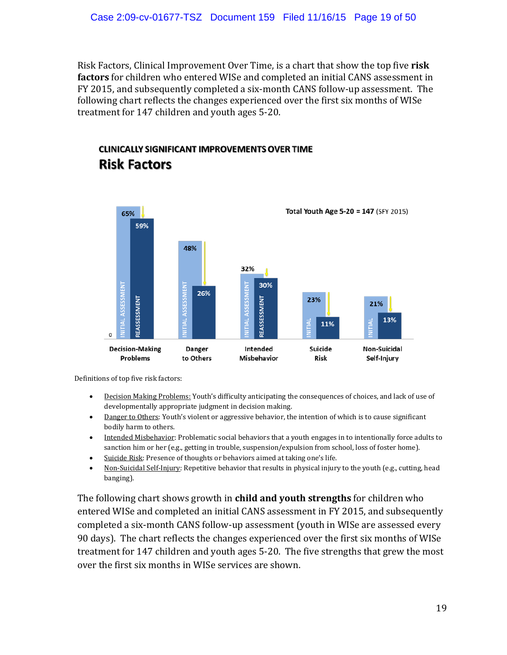Risk Factors, Clinical Improvement Over Time, is a chart that show the top five **risk factors** for children who entered WISe and completed an initial CANS assessment in FY 2015, and subsequently completed a six-month CANS follow-up assessment. The following chart reflects the changes experienced over the first six months of WISe treatment for 147 children and youth ages 5-20.

## **CLINICALLY SIGNIFICANT IMPROVEMENTS OVER TIME Risk Factors**



Definitions of top five risk factors:

- Decision Making Problems: Youth's difficulty anticipating the consequences of choices, and lack of use of developmentally appropriate judgment in decision making.
- Danger to Others: Youth's violent or aggressive behavior, the intention of which is to cause significant bodily harm to others.
- Intended Misbehavior: Problematic social behaviors that a youth engages in to intentionally force adults to sanction him or her (e.g., getting in trouble, suspension/expulsion from school, loss of foster home).
- Suicide Risk: Presence of thoughts or behaviors aimed at taking one's life.
- Non-Suicidal Self-Injury: Repetitive behavior that results in physical injury to the youth (e.g., cutting, head banging).

The following chart shows growth in **child and youth strengths** for children who entered WISe and completed an initial CANS assessment in FY 2015, and subsequently completed a six-month CANS follow-up assessment (youth in WISe are assessed every 90 days). The chart reflects the changes experienced over the first six months of WISe treatment for 147 children and youth ages 5-20. The five strengths that grew the most over the first six months in WISe services are shown.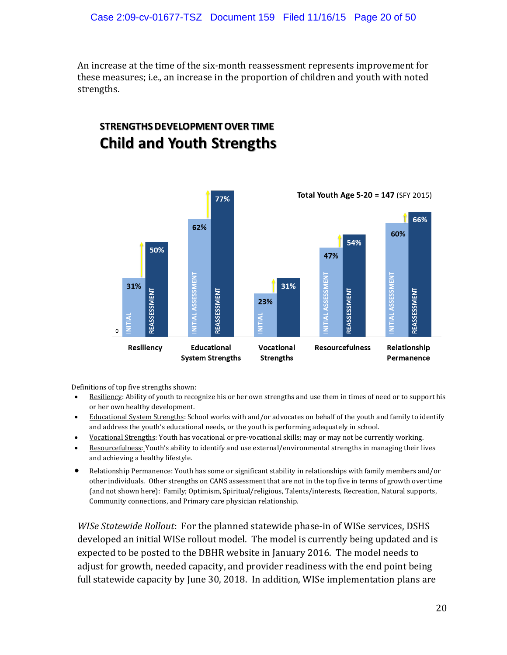An increase at the time of the six-month reassessment represents improvement for these measures; i.e., an increase in the proportion of children and youth with noted strengths.

# **STRENGTHS DEVELOPMENT OVER TIME Child and Youth Strengths**



Definitions of top five strengths shown:

- Resiliency: Ability of youth to recognize his or her own strengths and use them in times of need or to support his or her own healthy development.
- Educational System Strengths: School works with and/or advocates on behalf of the youth and family to identify and address the youth's educational needs, or the youth is performing adequately in school.
- Vocational Strengths: Youth has vocational or pre-vocational skills; may or may not be currently working.
- Resourcefulness: Youth's ability to identify and use external/environmental strengths in managing their lives and achieving a healthy lifestyle.
- Relationship Permanence: Youth has some or significant stability in relationships with family members and/or other individuals. Other strengths on CANS assessment that are not in the top five in terms of growth over time (and not shown here): Family; Optimism, Spiritual/religious, Talents/interests, Recreation, Natural supports, Community connections, and Primary care physician relationship.

*WISe Statewide Rollout*: For the planned statewide phase-in of WISe services, DSHS developed an initial WISe rollout model. The model is currently being updated and is expected to be posted to the DBHR website in January 2016. The model needs to adjust for growth, needed capacity, and provider readiness with the end point being full statewide capacity by June 30, 2018. In addition, WISe implementation plans are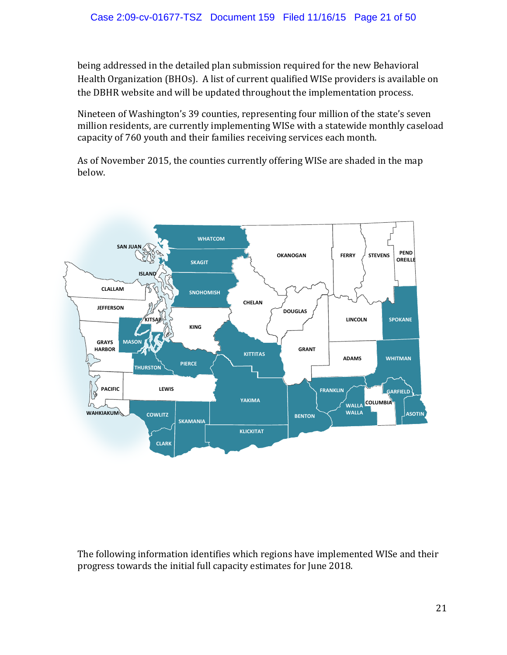being addressed in the detailed plan submission required for the new Behavioral Health Organization (BHOs). A list of current qualified WISe providers is available on the DBHR website and will be updated throughout the implementation process.

Nineteen of Washington's 39 counties, representing four million of the state's seven million residents, are currently implementing WISe with a statewide monthly caseload capacity of 760 youth and their families receiving services each month.

As of November 2015, the counties currently offering WISe are shaded in the map below.



The following information identifies which regions have implemented WISe and their progress towards the initial full capacity estimates for June 2018.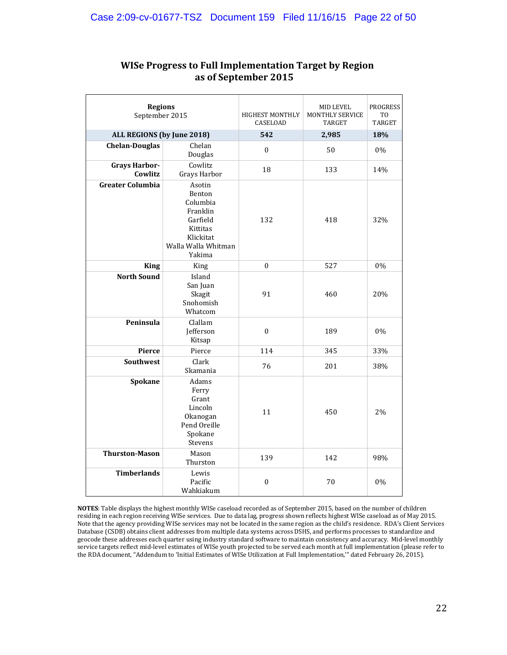| <b>Regions</b><br>September 2015 |                                                                                                                | <b>HIGHEST MONTHLY</b><br>CASELOAD | MID LEVEL<br>MONTHLY SERVICE<br><b>TARGET</b> | <b>PROGRESS</b><br>T <sub>0</sub><br><b>TARGET</b> |
|----------------------------------|----------------------------------------------------------------------------------------------------------------|------------------------------------|-----------------------------------------------|----------------------------------------------------|
| ALL REGIONS (by June 2018)       |                                                                                                                | 542                                | 2,985                                         | 18%                                                |
| <b>Chelan-Douglas</b>            | Chelan<br>Douglas                                                                                              | $\boldsymbol{0}$                   | 50                                            | 0%                                                 |
| <b>Grays Harbor-</b><br>Cowlitz  | Cowlitz<br>Grays Harbor                                                                                        | 18                                 | 133                                           | 14%                                                |
| <b>Greater Columbia</b>          | Asotin<br>Benton<br>Columbia<br>Franklin<br>Garfield<br>Kittitas<br>Klickitat<br>Walla Walla Whitman<br>Yakima | 132                                | 418                                           | 32%                                                |
| <b>King</b>                      | King                                                                                                           | $\theta$                           | 527                                           | 0%                                                 |
| <b>North Sound</b>               | Island<br>San Juan<br>Skagit<br>Snohomish<br>Whatcom                                                           | 91                                 | 460                                           | 20%                                                |
| Peninsula                        | Clallam<br>Jefferson<br>Kitsap                                                                                 | $\boldsymbol{0}$                   | 189                                           | 0%                                                 |
| Pierce                           | Pierce                                                                                                         | 114                                | 345                                           | 33%                                                |
| <b>Southwest</b>                 | Clark<br>Skamania                                                                                              | 76                                 | 201                                           | 38%                                                |
| Spokane                          | Adams<br>Ferry<br>Grant<br>Lincoln<br>Okanogan<br>Pend Oreille<br>Spokane<br>Stevens                           | 11                                 | 450                                           | 2%                                                 |
| <b>Thurston-Mason</b>            | Mason<br>Thurston                                                                                              | 139                                | 142                                           | 98%                                                |
| <b>Timberlands</b>               | Lewis<br>Pacific<br>Wahkiakum                                                                                  | $\boldsymbol{0}$                   | 70                                            | 0%                                                 |

#### **WISe Progress to Full Implementation Target by Region as of September 2015**

**NOTES**: Table displays the highest monthly WISe caseload recorded as of September 2015, based on the number of children residing in each region receiving WISe services. Due to data lag, progress shown reflects highest WISe caseload as of May 2015. Note that the agency providing WISe services may not be located in the same region as the child's residence. RDA's Client Services Database (CSDB) obtains client addresses from multiple data systems across DSHS, and performs processes to standardize and geocode these addresses each quarter using industry standard software to maintain consistency and accuracy. Mid-level monthly service targets reflect mid-level estimates of WISe youth projected to be served each month at full implementation (please refer to the RDA document, "Addendum to 'Initial Estimates of WISe Utilization at Full Implementation,'" dated February 26, 2015).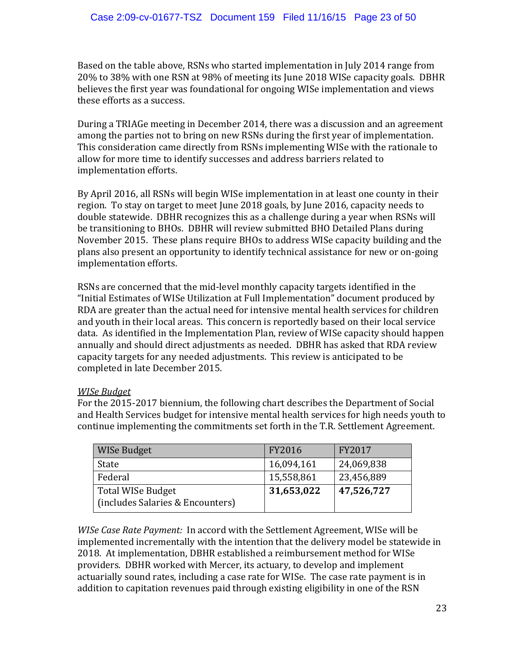Based on the table above, RSNs who started implementation in July 2014 range from 20% to 38% with one RSN at 98% of meeting its June 2018 WISe capacity goals. DBHR believes the first year was foundational for ongoing WISe implementation and views these efforts as a success.

During a TRIAGe meeting in December 2014, there was a discussion and an agreement among the parties not to bring on new RSNs during the first year of implementation. This consideration came directly from RSNs implementing WISe with the rationale to allow for more time to identify successes and address barriers related to implementation efforts.

By April 2016, all RSNs will begin WISe implementation in at least one county in their region. To stay on target to meet June 2018 goals, by June 2016, capacity needs to double statewide. DBHR recognizes this as a challenge during a year when RSNs will be transitioning to BHOs. DBHR will review submitted BHO Detailed Plans during November 2015. These plans require BHOs to address WISe capacity building and the plans also present an opportunity to identify technical assistance for new or on-going implementation efforts.

RSNs are concerned that the mid-level monthly capacity targets identified in the "Initial Estimates of WISe Utilization at Full Implementation" document produced by RDA are greater than the actual need for intensive mental health services for children and youth in their local areas. This concern is reportedly based on their local service data. As identified in the Implementation Plan, review of WISe capacity should happen annually and should direct adjustments as needed. DBHR has asked that RDA review capacity targets for any needed adjustments. This review is anticipated to be completed in late December 2015.

#### *WISe Budget*

For the 2015-2017 biennium, the following chart describes the Department of Social and Health Services budget for intensive mental health services for high needs youth to continue implementing the commitments set forth in the T.R. Settlement Agreement.

| WISe Budget                                           | FY2016     | FY2017     |
|-------------------------------------------------------|------------|------------|
| State                                                 | 16,094,161 | 24,069,838 |
| Federal                                               | 15,558,861 | 23,456,889 |
| Total WISe Budget<br>(includes Salaries & Encounters) | 31,653,022 | 47,526,727 |

*WISe Case Rate Payment:* In accord with the Settlement Agreement, WISe will be implemented incrementally with the intention that the delivery model be statewide in 2018. At implementation, DBHR established a reimbursement method for WISe providers. DBHR worked with Mercer, its actuary, to develop and implement actuarially sound rates, including a case rate for WISe. The case rate payment is in addition to capitation revenues paid through existing eligibility in one of the RSN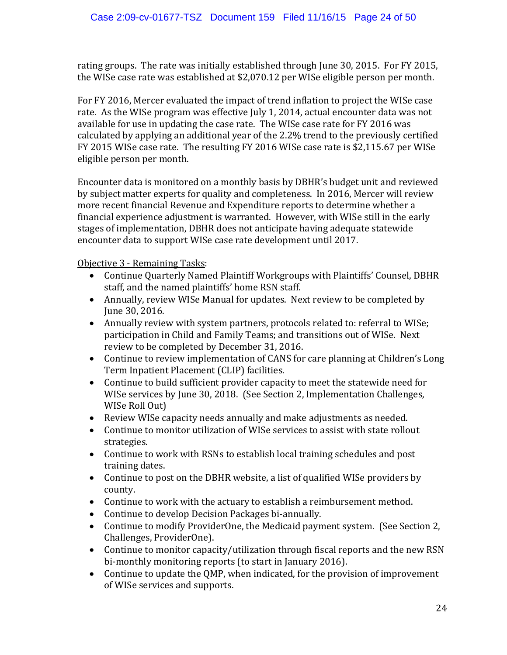rating groups. The rate was initially established through June 30, 2015. For FY 2015, the WISe case rate was established at \$2,070.12 per WISe eligible person per month.

For FY 2016, Mercer evaluated the impact of trend inflation to project the WISe case rate. As the WISe program was effective July 1, 2014, actual encounter data was not available for use in updating the case rate. The WISe case rate for FY 2016 was calculated by applying an additional year of the 2.2% trend to the previously certified FY 2015 WISe case rate. The resulting FY 2016 WISe case rate is \$2,115.67 per WISe eligible person per month.

Encounter data is monitored on a monthly basis by DBHR's budget unit and reviewed by subject matter experts for quality and completeness. In 2016, Mercer will review more recent financial Revenue and Expenditure reports to determine whether a financial experience adjustment is warranted. However, with WISe still in the early stages of implementation, DBHR does not anticipate having adequate statewide encounter data to support WISe case rate development until 2017.

Objective 3 - Remaining Tasks:

- Continue Quarterly Named Plaintiff Workgroups with Plaintiffs' Counsel, DBHR staff, and the named plaintiffs' home RSN staff.
- Annually, review WISe Manual for updates. Next review to be completed by June 30, 2016.
- Annually review with system partners, protocols related to: referral to WISe; participation in Child and Family Teams; and transitions out of WISe. Next review to be completed by December 31, 2016.
- Continue to review implementation of CANS for care planning at Children's Long Term Inpatient Placement (CLIP) facilities.
- Continue to build sufficient provider capacity to meet the statewide need for WISe services by June 30, 2018. (See Section 2, Implementation Challenges, WISe Roll Out)
- Review WISe capacity needs annually and make adjustments as needed.
- Continue to monitor utilization of WISe services to assist with state rollout strategies.
- Continue to work with RSNs to establish local training schedules and post training dates.
- Continue to post on the DBHR website, a list of qualified WISe providers by county.
- Continue to work with the actuary to establish a reimbursement method.
- Continue to develop Decision Packages bi-annually.
- Continue to modify ProviderOne, the Medicaid payment system. (See Section 2, Challenges, ProviderOne).
- Continue to monitor capacity/utilization through fiscal reports and the new RSN bi-monthly monitoring reports (to start in January 2016).
- Continue to update the QMP, when indicated, for the provision of improvement of WISe services and supports.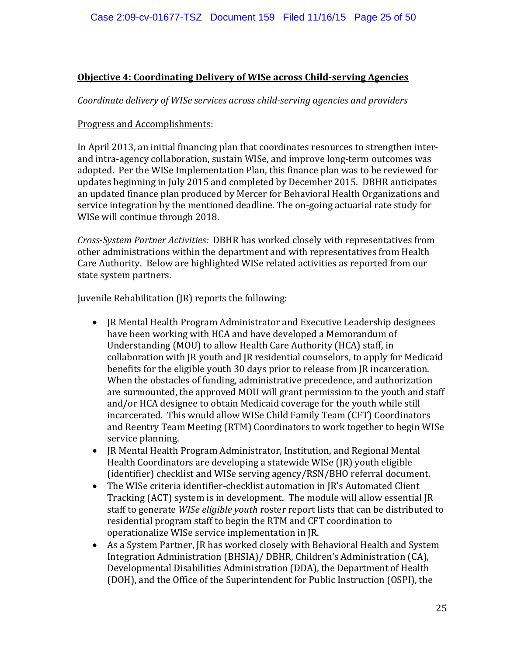#### **Objective 4: Coordinating Delivery of WISe across Child-serving Agencies**

#### *Coordinate delivery of WISe services across child-serving agencies and providers*

#### Progress and Accomplishments:

In April 2013, an initial financing plan that coordinates resources to strengthen interand intra-agency collaboration, sustain WISe, and improve long-term outcomes was adopted. Per the WISe Implementation Plan, this finance plan was to be reviewed for updates beginning in July 2015 and completed by December 2015. DBHR anticipates an updated finance plan produced by Mercer for Behavioral Health Organizations and service integration by the mentioned deadline. The on-going actuarial rate study for WISe will continue through 2018.

*Cross-System Partner Activities:* DBHR has worked closely with representatives from other administrations within the department and with representatives from Health Care Authority. Below are highlighted WISe related activities as reported from our state system partners.

Juvenile Rehabilitation (JR) reports the following:

- JR Mental Health Program Administrator and Executive Leadership designees have been working with HCA and have developed a Memorandum of Understanding (MOU) to allow Health Care Authority (HCA) staff, in collaboration with JR youth and JR residential counselors, to apply for Medicaid benefits for the eligible youth 30 days prior to release from JR incarceration. When the obstacles of funding, administrative precedence, and authorization are surmounted, the approved MOU will grant permission to the youth and staff and/or HCA designee to obtain Medicaid coverage for the youth while still incarcerated. This would allow WISe Child Family Team (CFT) Coordinators and Reentry Team Meeting (RTM) Coordinators to work together to begin WISe service planning.
- JR Mental Health Program Administrator, Institution, and Regional Mental Health Coordinators are developing a statewide WISe (JR) youth eligible (identifier) checklist and WISe serving agency/RSN/BHO referral document.
- The WISe criteria identifier-checklist automation in JR's Automated Client Tracking (ACT) system is in development. The module will allow essential JR staff to generate *WISe eligible youth* roster report lists that can be distributed to residential program staff to begin the RTM and CFT coordination to operationalize WISe service implementation in JR.
- As a System Partner, JR has worked closely with Behavioral Health and System Integration Administration (BHSIA)/ DBHR, Children's Administration (CA), Developmental Disabilities Administration (DDA), the Department of Health (DOH), and the Office of the Superintendent for Public Instruction (OSPI), the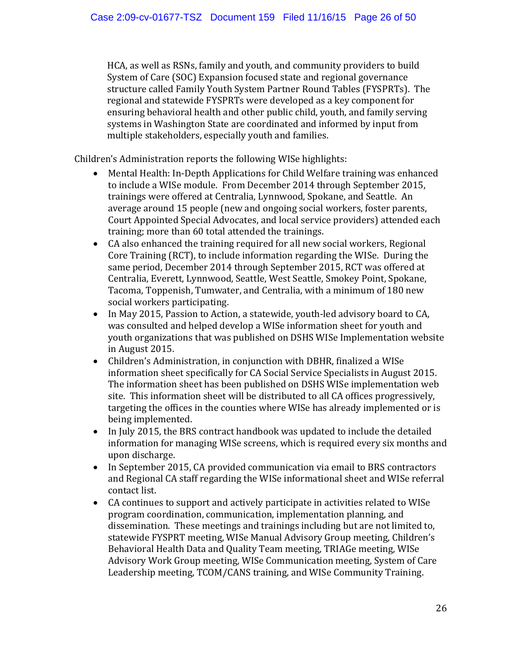HCA, as well as RSNs, family and youth, and community providers to build System of Care (SOC) Expansion focused state and regional governance structure called Family Youth System Partner Round Tables (FYSPRTs). The regional and statewide FYSPRTs were developed as a key component for ensuring behavioral health and other public child, youth, and family serving systems in Washington State are coordinated and informed by input from multiple stakeholders, especially youth and families.

Children's Administration reports the following WISe highlights:

- Mental Health: In-Depth Applications for Child Welfare training was enhanced to include a WISe module. From December 2014 through September 2015, trainings were offered at Centralia, Lynnwood, Spokane, and Seattle. An average around 15 people (new and ongoing social workers, foster parents, Court Appointed Special Advocates, and local service providers) attended each training; more than 60 total attended the trainings.
- CA also enhanced the training required for all new social workers, Regional Core Training (RCT), to include information regarding the WISe. During the same period, December 2014 through September 2015, RCT was offered at Centralia, Everett, Lynnwood, Seattle, West Seattle, Smokey Point, Spokane, Tacoma, Toppenish, Tumwater, and Centralia, with a minimum of 180 new social workers participating.
- In May 2015, Passion to Action, a statewide, youth-led advisory board to CA, was consulted and helped develop a WISe information sheet for youth and youth organizations that was published on DSHS WISe Implementation website in August 2015.
- Children's Administration, in conjunction with DBHR, finalized a WISe information sheet specifically for CA Social Service Specialists in August 2015. The information sheet has been published on DSHS WISe implementation web site. This information sheet will be distributed to all CA offices progressively, targeting the offices in the counties where WISe has already implemented or is being implemented.
- In July 2015, the BRS contract handbook was updated to include the detailed information for managing WISe screens, which is required every six months and upon discharge.
- In September 2015, CA provided communication via email to BRS contractors and Regional CA staff regarding the WISe informational sheet and WISe referral contact list.
- CA continues to support and actively participate in activities related to WISe program coordination, communication, implementation planning, and dissemination. These meetings and trainings including but are not limited to, statewide FYSPRT meeting, WISe Manual Advisory Group meeting, Children's Behavioral Health Data and Quality Team meeting, TRIAGe meeting, WISe Advisory Work Group meeting, WISe Communication meeting, System of Care Leadership meeting, TCOM/CANS training, and WISe Community Training.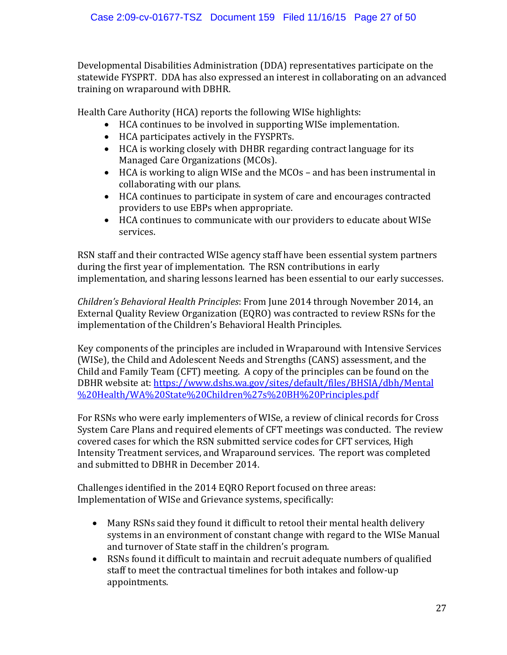Developmental Disabilities Administration (DDA) representatives participate on the statewide FYSPRT. DDA has also expressed an interest in collaborating on an advanced training on wraparound with DBHR.

Health Care Authority (HCA) reports the following WISe highlights:

- HCA continues to be involved in supporting WISe implementation.
- HCA participates actively in the FYSPRTs.
- HCA is working closely with DHBR regarding contract language for its Managed Care Organizations (MCOs).
- HCA is working to align WISe and the MCOs and has been instrumental in collaborating with our plans.
- HCA continues to participate in system of care and encourages contracted providers to use EBPs when appropriate.
- HCA continues to communicate with our providers to educate about WISe services.

RSN staff and their contracted WISe agency staff have been essential system partners during the first year of implementation. The RSN contributions in early implementation, and sharing lessons learned has been essential to our early successes.

*Children's Behavioral Health Principles*: From June 2014 through November 2014, an External Quality Review Organization (EQRO) was contracted to review RSNs for the implementation of the Children's Behavioral Health Principles.

Key components of the principles are included in Wraparound with Intensive Services (WISe), the Child and Adolescent Needs and Strengths (CANS) assessment, and the Child and Family Team (CFT) meeting. A copy of the principles can be found on the DBHR website at: [https://www.dshs.wa.gov/sites/default/files/BHSIA/dbh/Mental](https://www.dshs.wa.gov/sites/default/files/BHSIA/dbh/Mental%20Health/WA%20State%20Children%27s%20BH%20Principles.pdf) [%20Health/WA%20State%20Children%27s%20BH%20Principles.pdf](https://www.dshs.wa.gov/sites/default/files/BHSIA/dbh/Mental%20Health/WA%20State%20Children%27s%20BH%20Principles.pdf)

For RSNs who were early implementers of WISe, a review of clinical records for Cross System Care Plans and required elements of CFT meetings was conducted. The review covered cases for which the RSN submitted service codes for CFT services, High Intensity Treatment services, and Wraparound services. The report was completed and submitted to DBHR in December 2014.

Challenges identified in the 2014 EQRO Report focused on three areas: Implementation of WISe and Grievance systems, specifically:

- Many RSNs said they found it difficult to retool their mental health delivery systems in an environment of constant change with regard to the WISe Manual and turnover of State staff in the children's program.
- RSNs found it difficult to maintain and recruit adequate numbers of qualified staff to meet the contractual timelines for both intakes and follow-up appointments.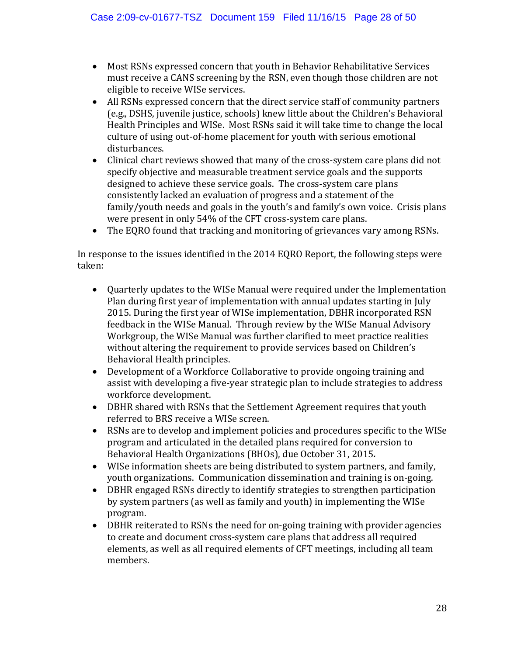- Most RSNs expressed concern that youth in Behavior Rehabilitative Services must receive a CANS screening by the RSN, even though those children are not eligible to receive WISe services.
- All RSNs expressed concern that the direct service staff of community partners (e.g., DSHS, juvenile justice, schools) knew little about the Children's Behavioral Health Principles and WISe. Most RSNs said it will take time to change the local culture of using out-of-home placement for youth with serious emotional disturbances.
- Clinical chart reviews showed that many of the cross-system care plans did not specify objective and measurable treatment service goals and the supports designed to achieve these service goals. The cross-system care plans consistently lacked an evaluation of progress and a statement of the family/youth needs and goals in the youth's and family's own voice. Crisis plans were present in only 54% of the CFT cross-system care plans.
- The EQRO found that tracking and monitoring of grievances vary among RSNs.

In response to the issues identified in the 2014 EQRO Report, the following steps were taken:

- Quarterly updates to the WISe Manual were required under the Implementation Plan during first year of implementation with annual updates starting in July 2015. During the first year of WISe implementation, DBHR incorporated RSN feedback in the WISe Manual. Through review by the WISe Manual Advisory Workgroup, the WISe Manual was further clarified to meet practice realities without altering the requirement to provide services based on Children's Behavioral Health principles.
- Development of a Workforce Collaborative to provide ongoing training and assist with developing a five-year strategic plan to include strategies to address workforce development.
- DBHR shared with RSNs that the Settlement Agreement requires that youth referred to BRS receive a WISe screen.
- RSNs are to develop and implement policies and procedures specific to the WISe program and articulated in the detailed plans required for conversion to Behavioral Health Organizations (BHOs), due October 31, 2015*.*
- WISe information sheets are being distributed to system partners, and family, youth organizations. Communication dissemination and training is on-going.
- DBHR engaged RSNs directly to identify strategies to strengthen participation by system partners (as well as family and youth) in implementing the WISe program.
- DBHR reiterated to RSNs the need for on-going training with provider agencies to create and document cross-system care plans that address all required elements, as well as all required elements of CFT meetings, including all team members.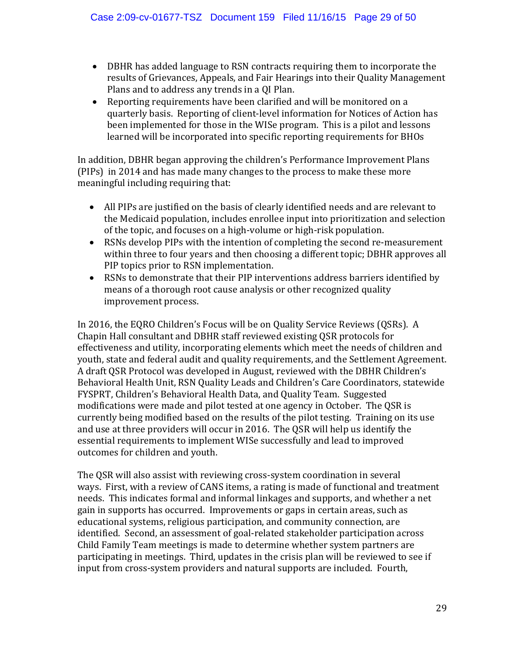- DBHR has added language to RSN contracts requiring them to incorporate the results of Grievances, Appeals, and Fair Hearings into their Quality Management Plans and to address any trends in a QI Plan.
- Reporting requirements have been clarified and will be monitored on a quarterly basis. Reporting of client-level information for Notices of Action has been implemented for those in the WISe program. This is a pilot and lessons learned will be incorporated into specific reporting requirements for BHOs

In addition, DBHR began approving the children's Performance Improvement Plans (PIPs) in 2014 and has made many changes to the process to make these more meaningful including requiring that:

- All PIPs are justified on the basis of clearly identified needs and are relevant to the Medicaid population, includes enrollee input into prioritization and selection of the topic, and focuses on a high-volume or high-risk population.
- RSNs develop PIPs with the intention of completing the second re-measurement within three to four years and then choosing a different topic; DBHR approves all PIP topics prior to RSN implementation.
- RSNs to demonstrate that their PIP interventions address barriers identified by means of a thorough root cause analysis or other recognized quality improvement process.

In 2016, the EQRO Children's Focus will be on Quality Service Reviews (QSRs). A Chapin Hall consultant and DBHR staff reviewed existing QSR protocols for effectiveness and utility, incorporating elements which meet the needs of children and youth, state and federal audit and quality requirements, and the Settlement Agreement. A draft QSR Protocol was developed in August, reviewed with the DBHR Children's Behavioral Health Unit, RSN Quality Leads and Children's Care Coordinators, statewide FYSPRT, Children's Behavioral Health Data, and Quality Team. Suggested modifications were made and pilot tested at one agency in October. The QSR is currently being modified based on the results of the pilot testing. Training on its use and use at three providers will occur in 2016. The QSR will help us identify the essential requirements to implement WISe successfully and lead to improved outcomes for children and youth.

The QSR will also assist with reviewing cross-system coordination in several ways. First, with a review of CANS items, a rating is made of functional and treatment needs. This indicates formal and informal linkages and supports, and whether a net gain in supports has occurred. Improvements or gaps in certain areas, such as educational systems, religious participation, and community connection, are identified. Second, an assessment of goal-related stakeholder participation across Child Family Team meetings is made to determine whether system partners are participating in meetings. Third, updates in the crisis plan will be reviewed to see if input from cross-system providers and natural supports are included. Fourth,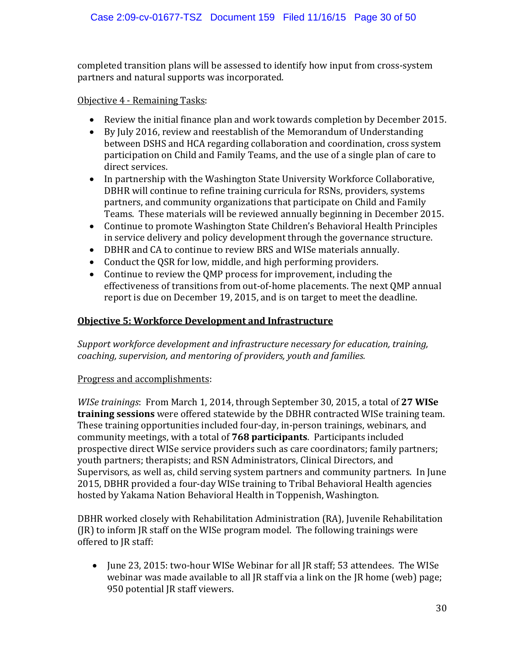completed transition plans will be assessed to identify how input from cross-system partners and natural supports was incorporated.

#### Objective 4 - Remaining Tasks:

- Review the initial finance plan and work towards completion by December 2015.
- By July 2016, review and reestablish of the Memorandum of Understanding between DSHS and HCA regarding collaboration and coordination, cross system participation on Child and Family Teams, and the use of a single plan of care to direct services.
- In partnership with the Washington State University Workforce Collaborative, DBHR will continue to refine training curricula for RSNs, providers, systems partners, and community organizations that participate on Child and Family Teams. These materials will be reviewed annually beginning in December 2015.
- Continue to promote Washington State Children's Behavioral Health Principles in service delivery and policy development through the governance structure.
- DBHR and CA to continue to review BRS and WISe materials annually.
- Conduct the QSR for low, middle, and high performing providers.
- Continue to review the QMP process for improvement, including the effectiveness of transitions from out-of-home placements. The next QMP annual report is due on December 19, 2015, and is on target to meet the deadline.

#### **Objective 5: Workforce Development and Infrastructure**

*Support workforce development and infrastructure necessary for education, training, coaching, supervision, and mentoring of providers, youth and families.*

#### Progress and accomplishments:

*WISe trainings*: From March 1, 2014, through September 30, 2015, a total of **27 WISe training sessions** were offered statewide by the DBHR contracted WISe training team. These training opportunities included four-day, in-person trainings, webinars, and community meetings, with a total of **768 participants**. Participants included prospective direct WISe service providers such as care coordinators; family partners; youth partners; therapists; and RSN Administrators, Clinical Directors, and Supervisors, as well as, child serving system partners and community partners. In June 2015, DBHR provided a four-day WISe training to Tribal Behavioral Health agencies hosted by Yakama Nation Behavioral Health in Toppenish, Washington.

DBHR worked closely with Rehabilitation Administration (RA), Juvenile Rehabilitation (JR) to inform JR staff on the WISe program model. The following trainings were offered to JR staff:

• June 23, 2015: two-hour WISe Webinar for all JR staff; 53 attendees. The WISe webinar was made available to all JR staff via a link on the JR home (web) page; 950 potential JR staff viewers.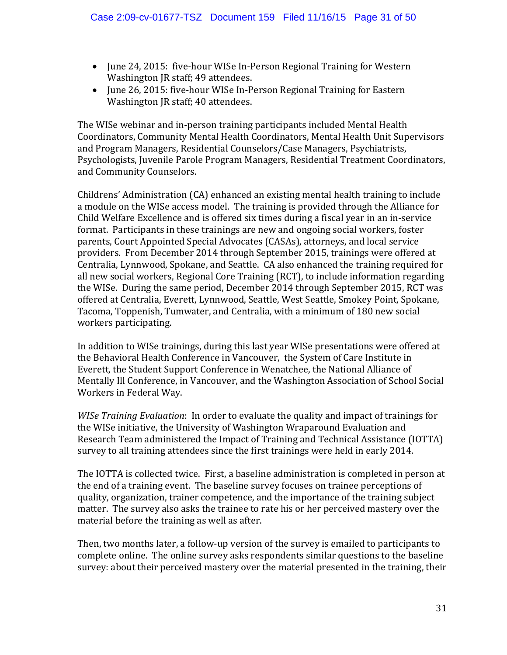- June 24, 2015: five-hour WISe In-Person Regional Training for Western Washington JR staff; 49 attendees.
- June 26, 2015: five-hour WISe In-Person Regional Training for Eastern Washington JR staff; 40 attendees.

The WISe webinar and in-person training participants included Mental Health Coordinators, Community Mental Health Coordinators, Mental Health Unit Supervisors and Program Managers, Residential Counselors/Case Managers, Psychiatrists, Psychologists, Juvenile Parole Program Managers, Residential Treatment Coordinators, and Community Counselors.

Childrens' Administration (CA) enhanced an existing mental health training to include a module on the WISe access model. The training is provided through the Alliance for Child Welfare Excellence and is offered six times during a fiscal year in an in-service format. Participants in these trainings are new and ongoing social workers, foster parents, Court Appointed Special Advocates (CASAs), attorneys, and local service providers. From December 2014 through September 2015, trainings were offered at Centralia, Lynnwood, Spokane, and Seattle. CA also enhanced the training required for all new social workers, Regional Core Training (RCT), to include information regarding the WISe. During the same period, December 2014 through September 2015, RCT was offered at Centralia, Everett, Lynnwood, Seattle, West Seattle, Smokey Point, Spokane, Tacoma, Toppenish, Tumwater, and Centralia, with a minimum of 180 new social workers participating.

In addition to WISe trainings, during this last year WISe presentations were offered at the Behavioral Health Conference in Vancouver, the System of Care Institute in Everett, the Student Support Conference in Wenatchee, the National Alliance of Mentally Ill Conference, in Vancouver, and the Washington Association of School Social Workers in Federal Way.

*WISe Training Evaluation*: In order to evaluate the quality and impact of trainings for the WISe initiative, the University of Washington Wraparound Evaluation and Research Team administered the Impact of Training and Technical Assistance (IOTTA) survey to all training attendees since the first trainings were held in early 2014.

The IOTTA is collected twice. First, a baseline administration is completed in person at the end of a training event. The baseline survey focuses on trainee perceptions of quality, organization, trainer competence, and the importance of the training subject matter. The survey also asks the trainee to rate his or her perceived mastery over the material before the training as well as after.

Then, two months later, a follow-up version of the survey is emailed to participants to complete online. The online survey asks respondents similar questions to the baseline survey: about their perceived mastery over the material presented in the training, their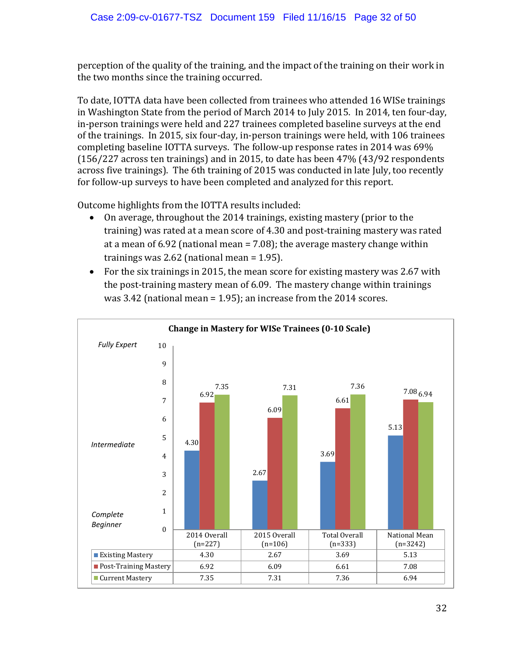perception of the quality of the training, and the impact of the training on their work in the two months since the training occurred.

To date, IOTTA data have been collected from trainees who attended 16 WISe trainings in Washington State from the period of March 2014 to July 2015. In 2014, ten four-day, in-person trainings were held and 227 trainees completed baseline surveys at the end of the trainings. In 2015, six four-day, in-person trainings were held, with 106 trainees completing baseline IOTTA surveys. The follow-up response rates in 2014 was 69% (156/227 across ten trainings) and in 2015, to date has been 47% (43/92 respondents across five trainings). The 6th training of 2015 was conducted in late July, too recently for follow-up surveys to have been completed and analyzed for this report.

Outcome highlights from the IOTTA results included:<br>• On average, throughout the 2014 trainings, exis

- On average, throughout the 2014 trainings, existing mastery (prior to the training) was rated at a mean score of 4.30 and post-training mastery was rated at a mean of 6.92 (national mean = 7.08); the average mastery change within trainings was 2.62 (national mean = 1.95).
- For the six trainings in 2015, the mean score for existing mastery was 2.67 with the post-training mastery mean of 6.09. The mastery change within trainings was 3.42 (national mean = 1.95); an increase from the 2014 scores.

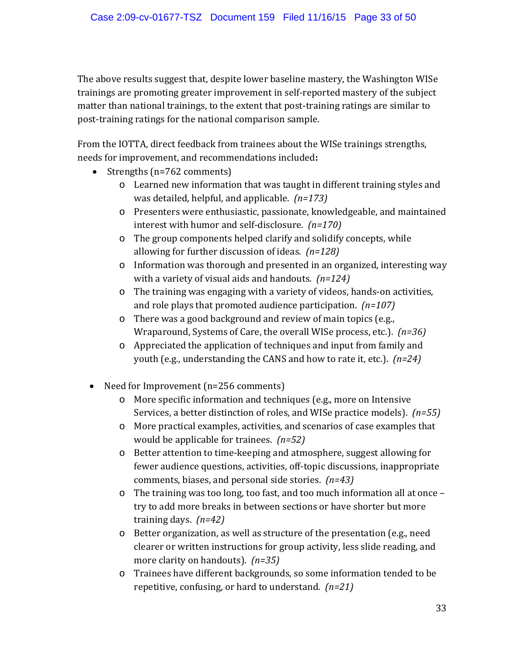The above results suggest that, despite lower baseline mastery, the Washington WISe trainings are promoting greater improvement in self-reported mastery of the subject matter than national trainings, to the extent that post-training ratings are similar to post-training ratings for the national comparison sample.

From the IOTTA, direct feedback from trainees about the WISe trainings strengths, needs for improvement, and recommendations included**:**

- Strengths (n=762 comments)
	- o Learned new information that was taught in different training styles and was detailed, helpful, and applicable. *(n=173)*
	- o Presenters were enthusiastic, passionate, knowledgeable, and maintained interest with humor and self-disclosure. *(n=170)*
	- o The group components helped clarify and solidify concepts, while allowing for further discussion of ideas. *(n=128)*
	- o Information was thorough and presented in an organized, interesting way with a variety of visual aids and handouts. *(n=124)*
	- o The training was engaging with a variety of videos, hands-on activities, and role plays that promoted audience participation. *(n=107)*
	- o There was a good background and review of main topics (e.g., Wraparound, Systems of Care, the overall WISe process, etc.). *(n=36)*
	- o Appreciated the application of techniques and input from family and youth (e.g., understanding the CANS and how to rate it, etc.). *(n=24)*
- Need for Improvement (n=256 comments)
	- o More specific information and techniques (e.g., more on Intensive Services, a better distinction of roles, and WISe practice models). *(n=55)*
	- o More practical examples, activities, and scenarios of case examples that would be applicable for trainees. *(n=52)*
	- o Better attention to time-keeping and atmosphere, suggest allowing for fewer audience questions, activities, off-topic discussions, inappropriate comments, biases, and personal side stories. *(n=43)*
	- $\circ$  The training was too long, too fast, and too much information all at once try to add more breaks in between sections or have shorter but more training days. *(n=42)*
	- o Better organization, as well as structure of the presentation (e.g., need clearer or written instructions for group activity, less slide reading, and more clarity on handouts). *(n=35)*
	- o Trainees have different backgrounds, so some information tended to be repetitive, confusing, or hard to understand. *(n=21)*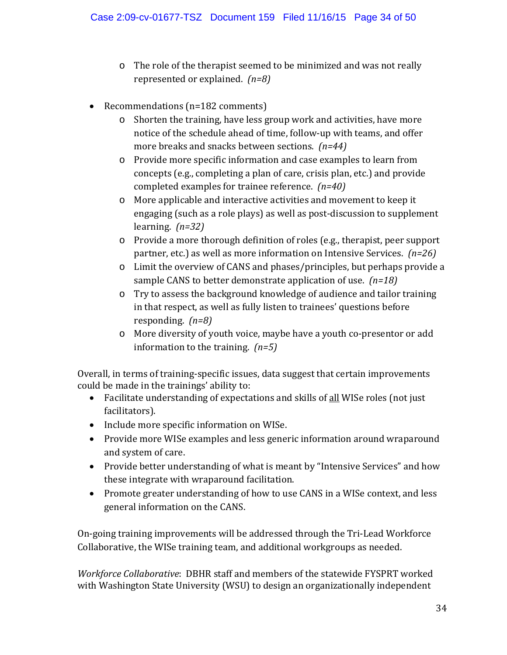- o The role of the therapist seemed to be minimized and was not really represented or explained. *(n=8)*
- Recommendations (n=182 comments)
	- o Shorten the training, have less group work and activities, have more notice of the schedule ahead of time, follow-up with teams, and offer more breaks and snacks between sections. *(n=44)*
	- o Provide more specific information and case examples to learn from concepts (e.g., completing a plan of care, crisis plan, etc.) and provide completed examples for trainee reference. *(n=40)*
	- o More applicable and interactive activities and movement to keep it engaging (such as a role plays) as well as post-discussion to supplement learning. *(n=32)*
	- o Provide a more thorough definition of roles (e.g., therapist, peer support partner, etc.) as well as more information on Intensive Services. *(n=26)*
	- o Limit the overview of CANS and phases/principles, but perhaps provide a sample CANS to better demonstrate application of use. *(n=18)*
	- o Try to assess the background knowledge of audience and tailor training in that respect, as well as fully listen to trainees' questions before responding. *(n=8)*
	- o More diversity of youth voice, maybe have a youth co-presentor or add information to the training. *(n=5)*

Overall, in terms of training-specific issues, data suggest that certain improvements could be made in the trainings' ability to:

- Facilitate understanding of expectations and skills of all WISe roles (not just facilitators).
- Include more specific information on WISe.
- Provide more WISe examples and less generic information around wraparound and system of care.
- Provide better understanding of what is meant by "Intensive Services" and how these integrate with wraparound facilitation.
- Promote greater understanding of how to use CANS in a WISe context, and less general information on the CANS.

On-going training improvements will be addressed through the Tri-Lead Workforce Collaborative, the WISe training team, and additional workgroups as needed.

*Workforce Collaborative*: DBHR staff and members of the statewide FYSPRT worked with Washington State University (WSU) to design an organizationally independent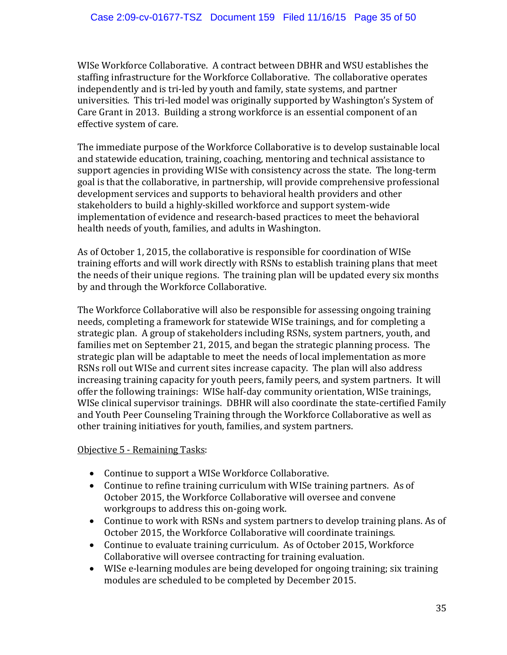WISe Workforce Collaborative. A contract between DBHR and WSU establishes the staffing infrastructure for the Workforce Collaborative. The collaborative operates independently and is tri-led by youth and family, state systems, and partner universities. This tri-led model was originally supported by Washington's System of Care Grant in 2013. Building a strong workforce is an essential component of an effective system of care.

The immediate purpose of the Workforce Collaborative is to develop sustainable local and statewide education, training, coaching, mentoring and technical assistance to support agencies in providing WISe with consistency across the state. The long-term goal is that the collaborative, in partnership, will provide comprehensive professional development services and supports to behavioral health providers and other stakeholders to build a highly-skilled workforce and support system-wide implementation of evidence and research-based practices to meet the behavioral health needs of youth, families, and adults in Washington.

As of October 1, 2015, the collaborative is responsible for coordination of WISe training efforts and will work directly with RSNs to establish training plans that meet the needs of their unique regions. The training plan will be updated every six months by and through the Workforce Collaborative.

The Workforce Collaborative will also be responsible for assessing ongoing training needs, completing a framework for statewide WISe trainings, and for completing a strategic plan. A group of stakeholders including RSNs, system partners, youth, and families met on September 21, 2015, and began the strategic planning process. The strategic plan will be adaptable to meet the needs of local implementation as more RSNs roll out WISe and current sites increase capacity. The plan will also address increasing training capacity for youth peers, family peers, and system partners. It will offer the following trainings: WISe half-day community orientation, WISe trainings, WISe clinical supervisor trainings. DBHR will also coordinate the state-certified Family and Youth Peer Counseling Training through the Workforce Collaborative as well as other training initiatives for youth, families, and system partners.

#### Objective 5 - Remaining Tasks:

- Continue to support a WISe Workforce Collaborative.
- Continue to refine training curriculum with WISe training partners. As of October 2015, the Workforce Collaborative will oversee and convene workgroups to address this on-going work.
- Continue to work with RSNs and system partners to develop training plans. As of October 2015, the Workforce Collaborative will coordinate trainings.
- Continue to evaluate training curriculum. As of October 2015, Workforce Collaborative will oversee contracting for training evaluation.
- WISe e-learning modules are being developed for ongoing training; six training modules are scheduled to be completed by December 2015.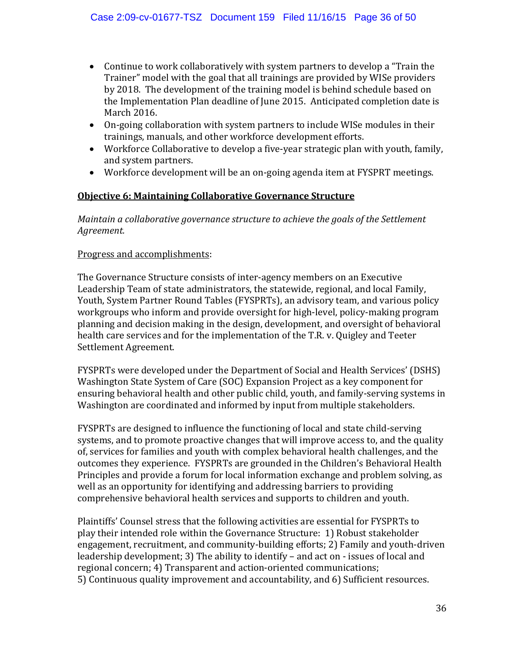- Continue to work collaboratively with system partners to develop a "Train the Trainer" model with the goal that all trainings are provided by WISe providers by 2018. The development of the training model is behind schedule based on the Implementation Plan deadline of June 2015. Anticipated completion date is March 2016.
- On-going collaboration with system partners to include WISe modules in their trainings, manuals, and other workforce development efforts.
- Workforce Collaborative to develop a five-year strategic plan with youth, family, and system partners.
- Workforce development will be an on-going agenda item at FYSPRT meetings.

#### **Objective 6: Maintaining Collaborative Governance Structure**

*Maintain a collaborative governance structure to achieve the goals of the Settlement Agreement.*

#### Progress and accomplishments:

The Governance Structure consists of inter-agency members on an Executive Leadership Team of state administrators, the statewide, regional, and local Family, Youth, System Partner Round Tables (FYSPRTs), an advisory team, and various policy workgroups who inform and provide oversight for high-level, policy-making program planning and decision making in the design, development, and oversight of behavioral health care services and for the implementation of the T.R. v. Quigley and Teeter Settlement Agreement.

FYSPRTs were developed under the Department of Social and Health Services' (DSHS) Washington State System of Care (SOC) Expansion Project as a key component for ensuring behavioral health and other public child, youth, and family-serving systems in Washington are coordinated and informed by input from multiple stakeholders.

FYSPRTs are designed to influence the functioning of local and state child-serving systems, and to promote proactive changes that will improve access to, and the quality of, services for families and youth with complex behavioral health challenges, and the outcomes they experience. FYSPRTs are grounded in the Children's Behavioral Health Principles and provide a forum for local information exchange and problem solving, as well as an opportunity for identifying and addressing barriers to providing comprehensive behavioral health services and supports to children and youth.

Plaintiffs' Counsel stress that the following activities are essential for FYSPRTs to play their intended role within the Governance Structure: 1) Robust stakeholder engagement, recruitment, and community-building efforts; 2) Family and youth-driven leadership development; 3) The ability to identify – and act on - issues of local and regional concern; 4) Transparent and action-oriented communications; 5) Continuous quality improvement and accountability, and 6) Sufficient resources.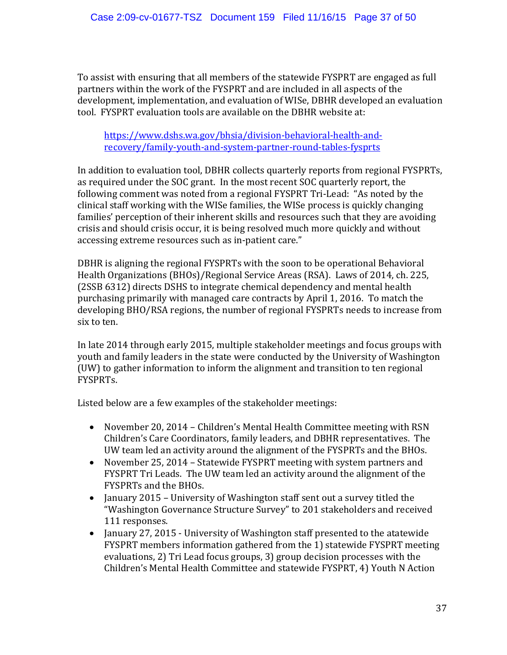To assist with ensuring that all members of the statewide FYSPRT are engaged as full partners within the work of the FYSPRT and are included in all aspects of the development, implementation, and evaluation of WISe, DBHR developed an evaluation tool. FYSPRT evaluation tools are available on the DBHR website at:

[https://www.dshs.wa.gov/bhsia/division-behavioral-health-and](https://www.dshs.wa.gov/bhsia/division-behavioral-health-and-recovery/family-youth-and-system-partner-round-tables-fysprts)[recovery/family-youth-and-system-partner-round-tables-fysprts](https://www.dshs.wa.gov/bhsia/division-behavioral-health-and-recovery/family-youth-and-system-partner-round-tables-fysprts)

In addition to evaluation tool, DBHR collects quarterly reports from regional FYSPRTs, as required under the SOC grant. In the most recent SOC quarterly report, the following comment was noted from a regional FYSPRT Tri-Lead: "As noted by the clinical staff working with the WISe families, the WISe process is quickly changing families' perception of their inherent skills and resources such that they are avoiding crisis and should crisis occur, it is being resolved much more quickly and without accessing extreme resources such as in-patient care."

DBHR is aligning the regional FYSPRTs with the soon to be operational Behavioral Health Organizations (BHOs)/Regional Service Areas (RSA). Laws of 2014, ch. 225, (2SSB 6312) directs DSHS to integrate chemical dependency and mental health purchasing primarily with managed care contracts by April 1, 2016. To match the developing BHO/RSA regions, the number of regional FYSPRTs needs to increase from six to ten.

In late 2014 through early 2015, multiple stakeholder meetings and focus groups with youth and family leaders in the state were conducted by the University of Washington (UW) to gather information to inform the alignment and transition to ten regional FYSPRTs.

Listed below are a few examples of the stakeholder meetings:

- November 20, 2014 Children's Mental Health Committee meeting with RSN Children's Care Coordinators, family leaders, and DBHR representatives. The UW team led an activity around the alignment of the FYSPRTs and the BHOs.
- November 25, 2014 Statewide FYSPRT meeting with system partners and FYSPRT Tri Leads. The UW team led an activity around the alignment of the FYSPRTs and the BHOs.
- January 2015 University of Washington staff sent out a survey titled the "Washington Governance Structure Survey" to 201 stakeholders and received 111 responses.
- January 27, 2015 University of Washington staff presented to the atatewide FYSPRT members information gathered from the 1) statewide FYSPRT meeting evaluations, 2) Tri Lead focus groups, 3) group decision processes with the Children's Mental Health Committee and statewide FYSPRT, 4) Youth N Action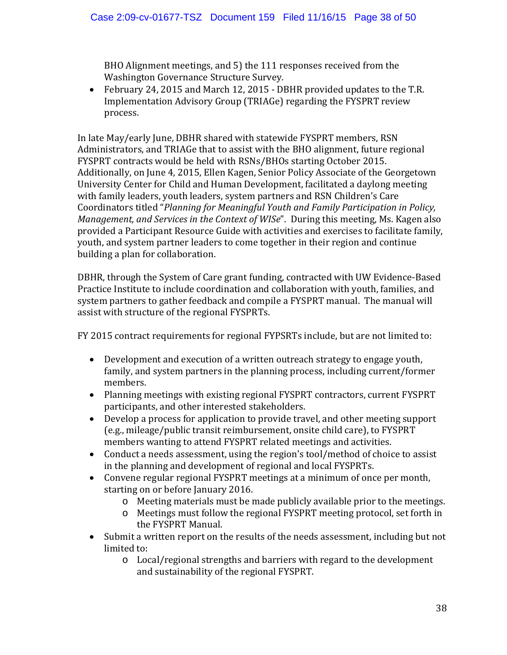BHO Alignment meetings, and 5) the 111 responses received from the Washington Governance Structure Survey.

• February 24, 2015 and March 12, 2015 - DBHR provided updates to the T.R. Implementation Advisory Group (TRIAGe) regarding the FYSPRT review process.

In late May/early June, DBHR shared with statewide FYSPRT members, RSN Administrators, and TRIAGe that to assist with the BHO alignment, future regional FYSPRT contracts would be held with RSNs/BHOs starting October 2015. Additionally, on June 4, 2015, Ellen Kagen, Senior Policy Associate of the Georgetown University Center for Child and Human Development, facilitated a daylong meeting with family leaders, youth leaders, system partners and RSN Children's Care Coordinators titled "*Planning for Meaningful Youth and Family Participation in Policy, Management, and Services in the Context of WISe*". During this meeting, Ms. Kagen also provided a Participant Resource Guide with activities and exercises to facilitate family, youth, and system partner leaders to come together in their region and continue building a plan for collaboration.

DBHR, through the System of Care grant funding, contracted with UW Evidence-Based Practice Institute to include coordination and collaboration with youth, families, and system partners to gather feedback and compile a FYSPRT manual. The manual will assist with structure of the regional FYSPRTs.

FY 2015 contract requirements for regional FYPSRTs include, but are not limited to:

- Development and execution of a written outreach strategy to engage youth, family, and system partners in the planning process, including current/former members.
- Planning meetings with existing regional FYSPRT contractors, current FYSPRT participants, and other interested stakeholders.
- Develop a process for application to provide travel, and other meeting support (e.g., mileage/public transit reimbursement, onsite child care), to FYSPRT members wanting to attend FYSPRT related meetings and activities.
- Conduct a needs assessment, using the region's tool/method of choice to assist in the planning and development of regional and local FYSPRTs.
- Convene regular regional FYSPRT meetings at a minimum of once per month, starting on or before January 2016.
	- o Meeting materials must be made publicly available prior to the meetings.
	- o Meetings must follow the regional FYSPRT meeting protocol, set forth in the FYSPRT Manual.
- Submit a written report on the results of the needs assessment, including but not limited to:
	- o Local/regional strengths and barriers with regard to the development and sustainability of the regional FYSPRT.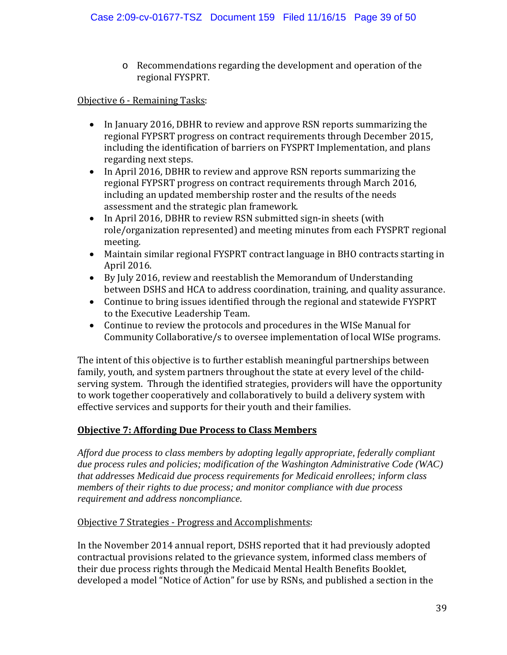o Recommendations regarding the development and operation of the regional FYSPRT.

#### Objective 6 - Remaining Tasks:

- In January 2016, DBHR to review and approve RSN reports summarizing the regional FYPSRT progress on contract requirements through December 2015, including the identification of barriers on FYSPRT Implementation, and plans regarding next steps.
- In April 2016, DBHR to review and approve RSN reports summarizing the regional FYPSRT progress on contract requirements through March 2016, including an updated membership roster and the results of the needs assessment and the strategic plan framework.
- In April 2016, DBHR to review RSN submitted sign-in sheets (with role/organization represented) and meeting minutes from each FYSPRT regional meeting.
- Maintain similar regional FYSPRT contract language in BHO contracts starting in April 2016.
- By July 2016, review and reestablish the Memorandum of Understanding between DSHS and HCA to address coordination, training, and quality assurance.
- Continue to bring issues identified through the regional and statewide FYSPRT to the Executive Leadership Team.
- Continue to review the protocols and procedures in the WISe Manual for Community Collaborative/s to oversee implementation of local WISe programs.

The intent of this objective is to further establish meaningful partnerships between family, youth, and system partners throughout the state at every level of the childserving system. Through the identified strategies, providers will have the opportunity to work together cooperatively and collaboratively to build a delivery system with effective services and supports for their youth and their families.

#### **Objective 7: Affording Due Process to Class Members**

*Afford due process to class members by adopting legally appropriate, federally compliant due process rules and policies; modification of the Washington Administrative Code (WAC) that addresses Medicaid due process requirements for Medicaid enrollees; inform class members of their rights to due process; and monitor compliance with due process requirement and address noncompliance.* 

#### Objective 7 Strategies - Progress and Accomplishments:

In the November 2014 annual report, DSHS reported that it had previously adopted contractual provisions related to the grievance system, informed class members of their due process rights through the Medicaid Mental Health Benefits Booklet, developed a model "Notice of Action" for use by RSNs, and published a section in the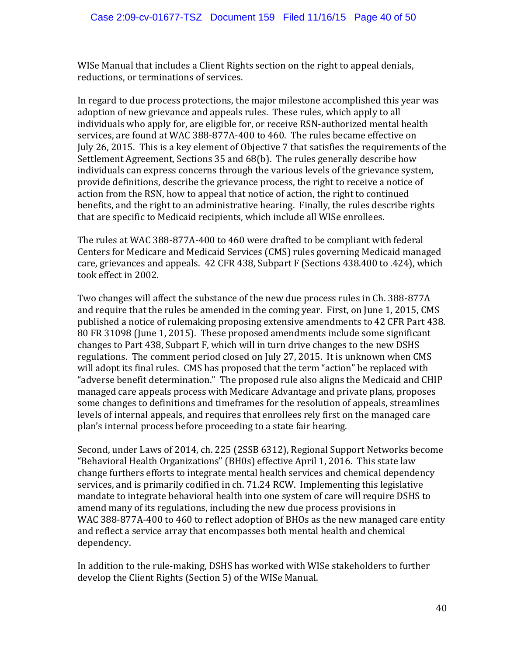WISe Manual that includes a Client Rights section on the right to appeal denials, reductions, or terminations of services.

In regard to due process protections, the major milestone accomplished this year was adoption of new grievance and appeals rules. These rules, which apply to all individuals who apply for, are eligible for, or receive RSN-authorized mental health services, are found at WAC 388-877A-400 to 460. The rules became effective on July 26, 2015. This is a key element of Objective 7 that satisfies the requirements of the Settlement Agreement, Sections 35 and 68(b). The rules generally describe how individuals can express concerns through the various levels of the grievance system, provide definitions, describe the grievance process, the right to receive a notice of action from the RSN, how to appeal that notice of action, the right to continued benefits, and the right to an administrative hearing. Finally, the rules describe rights that are specific to Medicaid recipients, which include all WISe enrollees.

The rules at WAC 388-877A-400 to 460 were drafted to be compliant with federal Centers for Medicare and Medicaid Services (CMS) rules governing Medicaid managed care, grievances and appeals. 42 CFR 438, Subpart F (Sections 438.400 to .424), which took effect in 2002.

Two changes will affect the substance of the new due process rules in Ch. 388-877A and require that the rules be amended in the coming year. First, on June 1, 2015, CMS published a notice of rulemaking proposing extensive amendments to 42 CFR Part 438. 80 FR 31098 (June 1, 2015). These proposed amendments include some significant changes to Part 438, Subpart F, which will in turn drive changes to the new DSHS regulations. The comment period closed on July 27, 2015. It is unknown when CMS will adopt its final rules. CMS has proposed that the term "action" be replaced with "adverse benefit determination." The proposed rule also aligns the Medicaid and CHIP managed care appeals process with Medicare Advantage and private plans, proposes some changes to definitions and timeframes for the resolution of appeals, streamlines levels of internal appeals, and requires that enrollees rely first on the managed care plan's internal process before proceeding to a state fair hearing.

Second, under Laws of 2014, ch. 225 (2SSB 6312), Regional Support Networks become "Behavioral Health Organizations" (BH0s) effective April 1, 2016. This state law change furthers efforts to integrate mental health services and chemical dependency services, and is primarily codified in ch. 71.24 RCW. Implementing this legislative mandate to integrate behavioral health into one system of care will require DSHS to amend many of its regulations, including the new due process provisions in WAC 388-877A-400 to 460 to reflect adoption of BHOs as the new managed care entity and reflect a service array that encompasses both mental health and chemical dependency.

In addition to the rule-making, DSHS has worked with WISe stakeholders to further develop the Client Rights (Section 5) of the WISe Manual.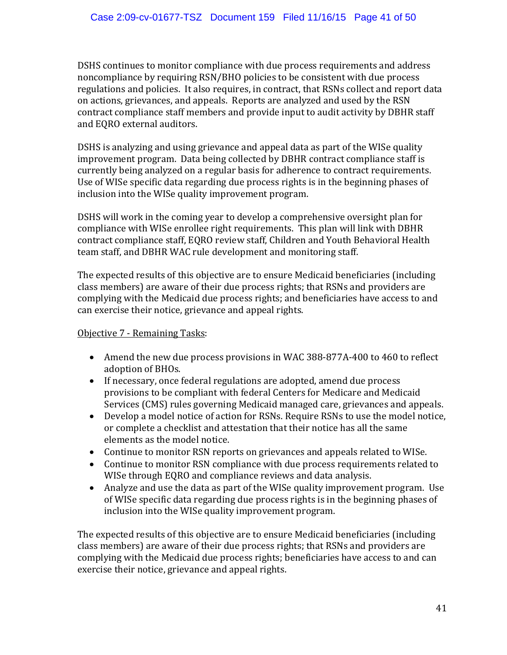DSHS continues to monitor compliance with due process requirements and address noncompliance by requiring RSN/BHO policies to be consistent with due process regulations and policies. It also requires, in contract, that RSNs collect and report data on actions, grievances, and appeals. Reports are analyzed and used by the RSN contract compliance staff members and provide input to audit activity by DBHR staff and EQRO external auditors.

DSHS is analyzing and using grievance and appeal data as part of the WISe quality improvement program. Data being collected by DBHR contract compliance staff is currently being analyzed on a regular basis for adherence to contract requirements. Use of WISe specific data regarding due process rights is in the beginning phases of inclusion into the WISe quality improvement program.

DSHS will work in the coming year to develop a comprehensive oversight plan for compliance with WISe enrollee right requirements. This plan will link with DBHR contract compliance staff, EQRO review staff, Children and Youth Behavioral Health team staff, and DBHR WAC rule development and monitoring staff.

The expected results of this objective are to ensure Medicaid beneficiaries (including class members) are aware of their due process rights; that RSNs and providers are complying with the Medicaid due process rights; and beneficiaries have access to and can exercise their notice, grievance and appeal rights.

#### Objective 7 - Remaining Tasks:

- Amend the new due process provisions in WAC 388-877A-400 to 460 to reflect adoption of BHOs.
- If necessary, once federal regulations are adopted, amend due process provisions to be compliant with federal Centers for Medicare and Medicaid Services (CMS) rules governing Medicaid managed care, grievances and appeals.
- Develop a model notice of action for RSNs. Require RSNs to use the model notice, or complete a checklist and attestation that their notice has all the same elements as the model notice.
- Continue to monitor RSN reports on grievances and appeals related to WISe.
- Continue to monitor RSN compliance with due process requirements related to WISe through EQRO and compliance reviews and data analysis.
- Analyze and use the data as part of the WISe quality improvement program. Use of WISe specific data regarding due process rights is in the beginning phases of inclusion into the WISe quality improvement program.

The expected results of this objective are to ensure Medicaid beneficiaries (including class members) are aware of their due process rights; that RSNs and providers are complying with the Medicaid due process rights; beneficiaries have access to and can exercise their notice, grievance and appeal rights.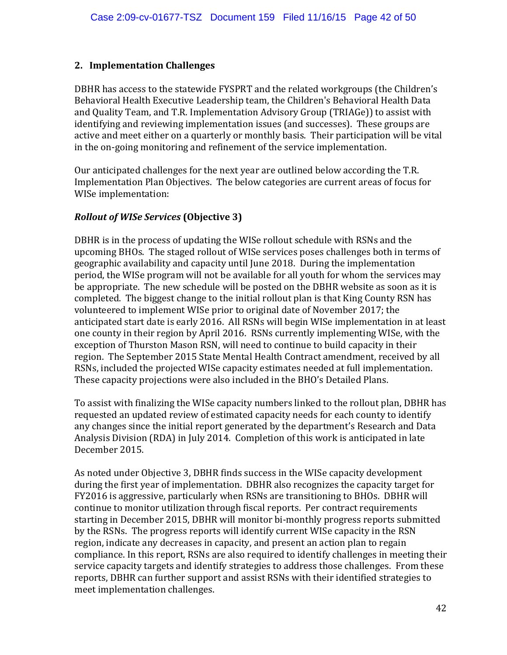#### **2. Implementation Challenges**

DBHR has access to the statewide FYSPRT and the related workgroups (the Children's Behavioral Health Executive Leadership team, the Children's Behavioral Health Data and Quality Team, and T.R. Implementation Advisory Group (TRIAGe)) to assist with identifying and reviewing implementation issues (and successes). These groups are active and meet either on a quarterly or monthly basis. Their participation will be vital in the on-going monitoring and refinement of the service implementation.

Our anticipated challenges for the next year are outlined below according the T.R. Implementation Plan Objectives. The below categories are current areas of focus for WISe implementation:

#### *Rollout of WISe Services* **(Objective 3)**

DBHR is in the process of updating the WISe rollout schedule with RSNs and the upcoming BHOs. The staged rollout of WISe services poses challenges both in terms of geographic availability and capacity until June 2018. During the implementation period, the WISe program will not be available for all youth for whom the services may be appropriate. The new schedule will be posted on the DBHR website as soon as it is completed. The biggest change to the initial rollout plan is that King County RSN has volunteered to implement WISe prior to original date of November 2017; the anticipated start date is early 2016. All RSNs will begin WISe implementation in at least one county in their region by April 2016. RSNs currently implementing WISe, with the exception of Thurston Mason RSN, will need to continue to build capacity in their region. The September 2015 State Mental Health Contract amendment, received by all RSNs, included the projected WISe capacity estimates needed at full implementation. These capacity projections were also included in the BHO's Detailed Plans.

To assist with finalizing the WISe capacity numbers linked to the rollout plan, DBHR has requested an updated review of estimated capacity needs for each county to identify any changes since the initial report generated by the department's Research and Data Analysis Division (RDA) in July 2014. Completion of this work is anticipated in late December 2015.

As noted under Objective 3, DBHR finds success in the WISe capacity development during the first year of implementation. DBHR also recognizes the capacity target for FY2016 is aggressive, particularly when RSNs are transitioning to BHOs. DBHR will continue to monitor utilization through fiscal reports. Per contract requirements starting in December 2015, DBHR will monitor bi-monthly progress reports submitted by the RSNs. The progress reports will identify current WISe capacity in the RSN region, indicate any decreases in capacity, and present an action plan to regain compliance. In this report, RSNs are also required to identify challenges in meeting their service capacity targets and identify strategies to address those challenges. From these reports, DBHR can further support and assist RSNs with their identified strategies to meet implementation challenges.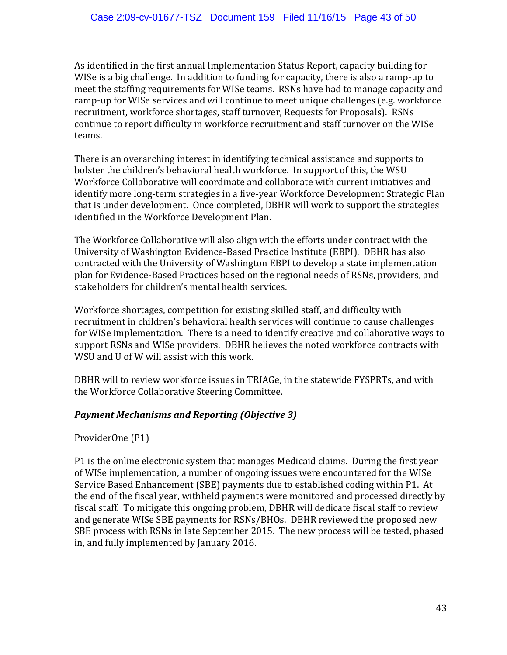As identified in the first annual Implementation Status Report, capacity building for WISe is a big challenge. In addition to funding for capacity, there is also a ramp-up to meet the staffing requirements for WISe teams. RSNs have had to manage capacity and ramp-up for WISe services and will continue to meet unique challenges (e.g. workforce recruitment, workforce shortages, staff turnover, Requests for Proposals). RSNs continue to report difficulty in workforce recruitment and staff turnover on the WISe teams.

There is an overarching interest in identifying technical assistance and supports to bolster the children's behavioral health workforce. In support of this, the WSU Workforce Collaborative will coordinate and collaborate with current initiatives and identify more long-term strategies in a five-year Workforce Development Strategic Plan that is under development. Once completed, DBHR will work to support the strategies identified in the Workforce Development Plan.

The Workforce Collaborative will also align with the efforts under contract with the University of Washington Evidence-Based Practice Institute (EBPI). DBHR has also contracted with the University of Washington EBPI to develop a state implementation plan for Evidence-Based Practices based on the regional needs of RSNs, providers, and stakeholders for children's mental health services.

Workforce shortages, competition for existing skilled staff, and difficulty with recruitment in children's behavioral health services will continue to cause challenges for WISe implementation. There is a need to identify creative and collaborative ways to support RSNs and WISe providers. DBHR believes the noted workforce contracts with WSU and U of W will assist with this work.

DBHR will to review workforce issues in TRIAGe, in the statewide FYSPRTs, and with the Workforce Collaborative Steering Committee.

#### *Payment Mechanisms and Reporting (Objective 3)*

ProviderOne (P1)

P1 is the online electronic system that manages Medicaid claims. During the first year of WISe implementation, a number of ongoing issues were encountered for the WISe Service Based Enhancement (SBE) payments due to established coding within P1. At the end of the fiscal year, withheld payments were monitored and processed directly by fiscal staff. To mitigate this ongoing problem, DBHR will dedicate fiscal staff to review and generate WISe SBE payments for RSNs/BHOs. DBHR reviewed the proposed new SBE process with RSNs in late September 2015. The new process will be tested, phased in, and fully implemented by January 2016.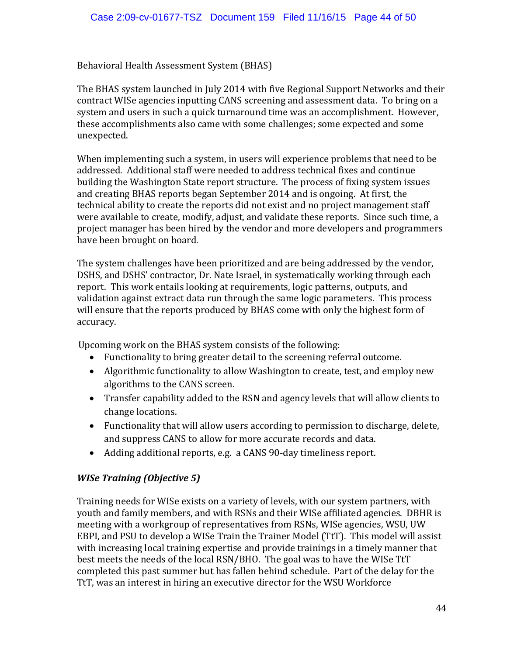Behavioral Health Assessment System (BHAS)

The BHAS system launched in July 2014 with five Regional Support Networks and their contract WISe agencies inputting CANS screening and assessment data. To bring on a system and users in such a quick turnaround time was an accomplishment. However, these accomplishments also came with some challenges; some expected and some unexpected.

When implementing such a system, in users will experience problems that need to be addressed. Additional staff were needed to address technical fixes and continue building the Washington State report structure. The process of fixing system issues and creating BHAS reports began September 2014 and is ongoing. At first, the technical ability to create the reports did not exist and no project management staff were available to create, modify, adjust, and validate these reports. Since such time, a project manager has been hired by the vendor and more developers and programmers have been brought on board.

The system challenges have been prioritized and are being addressed by the vendor, DSHS, and DSHS' contractor, Dr. Nate Israel, in systematically working through each report. This work entails looking at requirements, logic patterns, outputs, and validation against extract data run through the same logic parameters. This process will ensure that the reports produced by BHAS come with only the highest form of accuracy.

Upcoming work on the BHAS system consists of the following:

- Functionality to bring greater detail to the screening referral outcome.
- Algorithmic functionality to allow Washington to create, test, and employ new algorithms to the CANS screen.
- Transfer capability added to the RSN and agency levels that will allow clients to change locations.
- Functionality that will allow users according to permission to discharge, delete, and suppress CANS to allow for more accurate records and data.
- Adding additional reports, e.g. a CANS 90-day timeliness report.

## *WISe Training (Objective 5)*

Training needs for WISe exists on a variety of levels, with our system partners, with youth and family members, and with RSNs and their WISe affiliated agencies. DBHR is meeting with a workgroup of representatives from RSNs, WISe agencies, WSU, UW EBPI, and PSU to develop a WISe Train the Trainer Model (TtT). This model will assist with increasing local training expertise and provide trainings in a timely manner that best meets the needs of the local RSN/BHO. The goal was to have the WISe TtT completed this past summer but has fallen behind schedule. Part of the delay for the TtT, was an interest in hiring an executive director for the WSU Workforce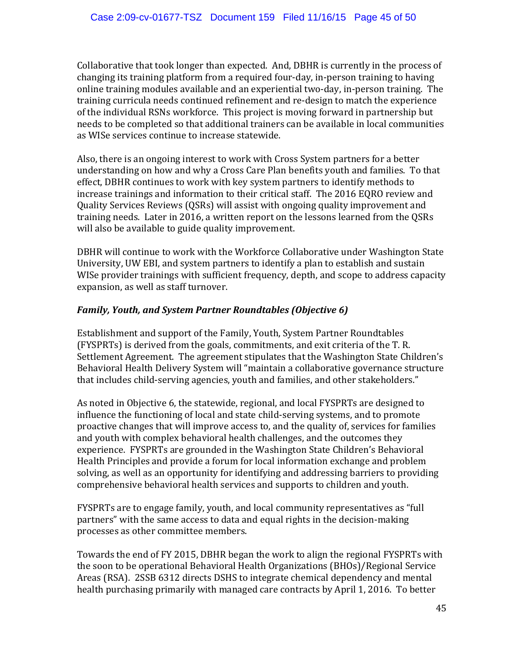Collaborative that took longer than expected. And, DBHR is currently in the process of changing its training platform from a required four-day, in-person training to having online training modules available and an experiential two-day, in-person training. The training curricula needs continued refinement and re-design to match the experience of the individual RSNs workforce. This project is moving forward in partnership but needs to be completed so that additional trainers can be available in local communities as WISe services continue to increase statewide.

Also, there is an ongoing interest to work with Cross System partners for a better understanding on how and why a Cross Care Plan benefits youth and families. To that effect, DBHR continues to work with key system partners to identify methods to increase trainings and information to their critical staff. The 2016 EQRO review and Quality Services Reviews (QSRs) will assist with ongoing quality improvement and training needs. Later in 2016, a written report on the lessons learned from the QSRs will also be available to guide quality improvement.

DBHR will continue to work with the Workforce Collaborative under Washington State University, UW EBI, and system partners to identify a plan to establish and sustain WISe provider trainings with sufficient frequency, depth, and scope to address capacity expansion, as well as staff turnover.

#### *Family, Youth, and System Partner Roundtables (Objective 6)*

Establishment and support of the Family, Youth, System Partner Roundtables (FYSPRTs) is derived from the goals, commitments, and exit criteria of the T. R. Settlement Agreement. The agreement stipulates that the Washington State Children's Behavioral Health Delivery System will "maintain a collaborative governance structure that includes child-serving agencies, youth and families, and other stakeholders."

As noted in Objective 6, the statewide, regional, and local FYSPRTs are designed to influence the functioning of local and state child-serving systems, and to promote proactive changes that will improve access to, and the quality of, services for families and youth with complex behavioral health challenges, and the outcomes they experience. FYSPRTs are grounded in the Washington State Children's Behavioral Health Principles and provide a forum for local information exchange and problem solving, as well as an opportunity for identifying and addressing barriers to providing comprehensive behavioral health services and supports to children and youth.

FYSPRTs are to engage family, youth, and local community representatives as "full partners" with the same access to data and equal rights in the decision-making processes as other committee members.

Towards the end of FY 2015, DBHR began the work to align the regional FYSPRTs with the soon to be operational Behavioral Health Organizations (BHOs)/Regional Service Areas (RSA). 2SSB 6312 directs DSHS to integrate chemical dependency and mental health purchasing primarily with managed care contracts by April 1, 2016. To better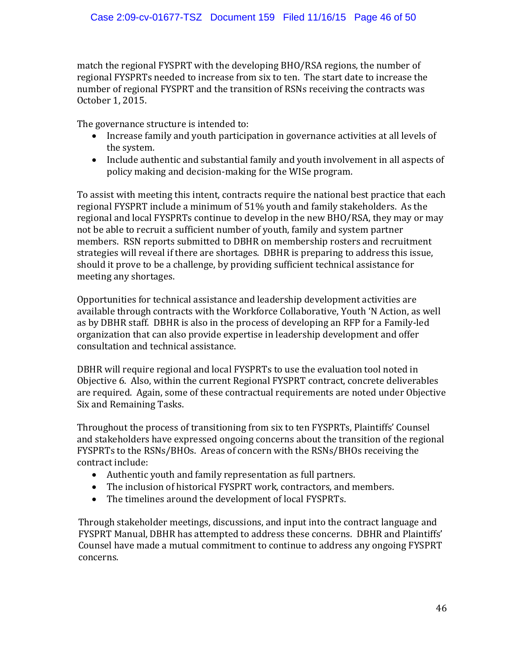match the regional FYSPRT with the developing BHO/RSA regions, the number of regional FYSPRTs needed to increase from six to ten. The start date to increase the number of regional FYSPRT and the transition of RSNs receiving the contracts was October 1, 2015.

The governance structure is intended to:

- Increase family and youth participation in governance activities at all levels of the system.
- Include authentic and substantial family and youth involvement in all aspects of policy making and decision-making for the WISe program.

To assist with meeting this intent, contracts require the national best practice that each regional FYSPRT include a minimum of 51% youth and family stakeholders. As the regional and local FYSPRTs continue to develop in the new BHO/RSA, they may or may not be able to recruit a sufficient number of youth, family and system partner members. RSN reports submitted to DBHR on membership rosters and recruitment strategies will reveal if there are shortages. DBHR is preparing to address this issue, should it prove to be a challenge, by providing sufficient technical assistance for meeting any shortages.

Opportunities for technical assistance and leadership development activities are available through contracts with the Workforce Collaborative, Youth 'N Action, as well as by DBHR staff. DBHR is also in the process of developing an RFP for a Family-led organization that can also provide expertise in leadership development and offer consultation and technical assistance.

DBHR will require regional and local FYSPRTs to use the evaluation tool noted in Objective 6. Also, within the current Regional FYSPRT contract, concrete deliverables are required. Again, some of these contractual requirements are noted under Objective Six and Remaining Tasks.

Throughout the process of transitioning from six to ten FYSPRTs, Plaintiffs' Counsel and stakeholders have expressed ongoing concerns about the transition of the regional FYSPRTs to the RSNs/BHOs. Areas of concern with the RSNs/BHOs receiving the contract include:

- Authentic youth and family representation as full partners.
- The inclusion of historical FYSPRT work, contractors, and members.
- The timelines around the development of local FYSPRTs.

Through stakeholder meetings, discussions, and input into the contract language and FYSPRT Manual, DBHR has attempted to address these concerns. DBHR and Plaintiffs' Counsel have made a mutual commitment to continue to address any ongoing FYSPRT concerns.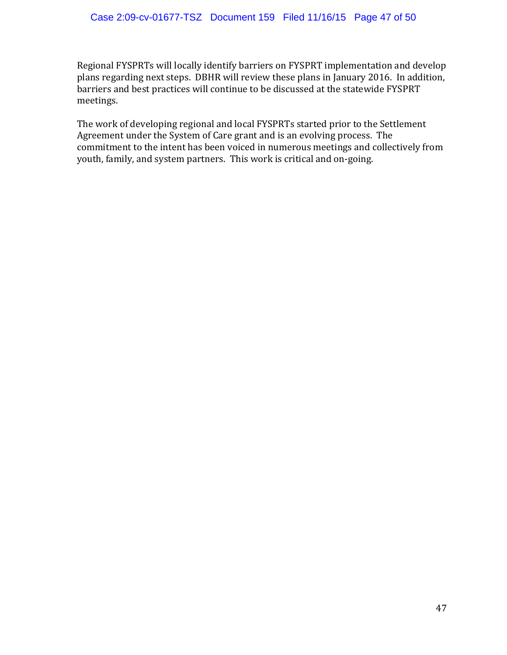Regional FYSPRTs will locally identify barriers on FYSPRT implementation and develop plans regarding next steps. DBHR will review these plans in January 2016. In addition, barriers and best practices will continue to be discussed at the statewide FYSPRT meetings.

The work of developing regional and local FYSPRTs started prior to the Settlement Agreement under the System of Care grant and is an evolving process. The commitment to the intent has been voiced in numerous meetings and collectively from youth, family, and system partners. This work is critical and on-going.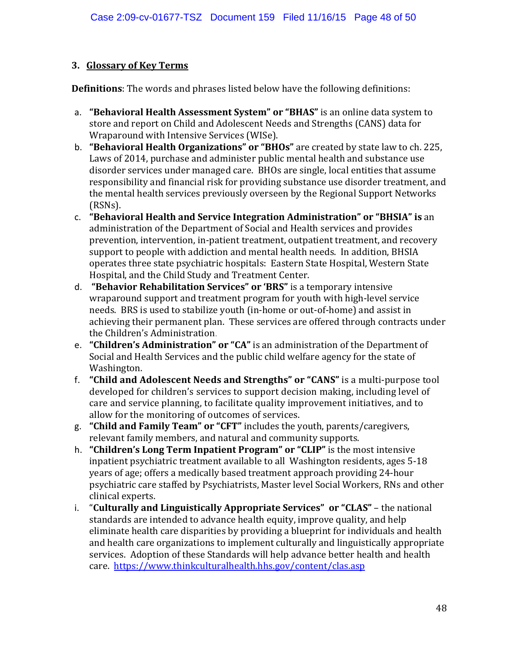### **3. Glossary of Key Terms**

**Definitions**: The words and phrases listed below have the following definitions:

- a. **"Behavioral Health Assessment System" or "BHAS"** is an online data system to store and report on Child and Adolescent Needs and Strengths (CANS) data for Wraparound with Intensive Services (WISe).
- b. **"Behavioral Health Organizations" or "BHOs"** are created by state law to ch. 225, Laws of 2014, purchase and administer public mental health and substance use disorder services under managed care. BHOs are single, local entities that assume responsibility and financial risk for providing substance use disorder treatment, and the mental health services previously overseen by the Regional Support Networks (RSNs).
- c. **"Behavioral Health and Service Integration Administration" or "BHSIA" is** an administration of the Department of Social and Health services and provides prevention, intervention, in-patient treatment, outpatient treatment, and recovery support to people with addiction and mental health needs. In addition, BHSIA operates three state psychiatric hospitals: Eastern State Hospital, Western State Hospital, and the Child Study and Treatment Center.
- d. **"Behavior Rehabilitation Services" or 'BRS"** is a temporary intensive wraparound support and treatment program for youth with high-level service needs. BRS is used to stabilize youth (in-home or out-of-home) and assist in achieving their permanent plan. These services are offered through contracts under the Children's Administration.
- e. **"Children's Administration" or "CA"** is an administration of the Department of Social and Health Services and the public child welfare agency for the state of Washington.
- f. **"Child and Adolescent Needs and Strengths" or "CANS"** is a multi-purpose tool developed for children's services to support decision making, including level of care and service planning, to facilitate quality improvement initiatives, and to allow for the monitoring of outcomes of services.
- g. **"Child and Family Team" or "CFT"** includes the youth, parents/caregivers, relevant family members, and natural and community supports.
- h. **"Children's Long Term Inpatient Program" or "CLIP"** is the most intensive inpatient psychiatric treatment available to all Washington residents, ages 5-18 years of age; offers a medically based treatment approach providing 24-hour psychiatric care staffed by Psychiatrists, Master level Social Workers, RNs and other clinical experts.
- i. "**Culturally and Linguistically Appropriate Services" or "CLAS"** the national standards are intended to advance health equity, improve quality, and help eliminate health care disparities by providing a blueprint for individuals and health and health care organizations to implement culturally and linguistically appropriate services. Adoption of these Standards will help advance better health and health care. <https://www.thinkculturalhealth.hhs.gov/content/clas.asp>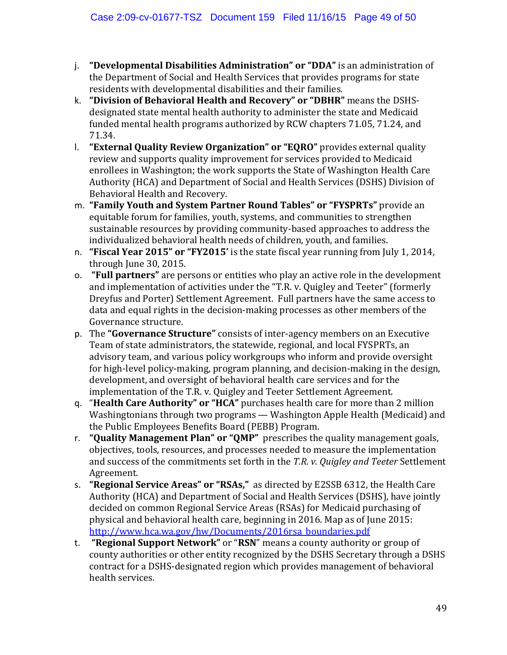- j. **"Developmental Disabilities Administration" or "DDA"** is an administration of the Department of Social and Health Services that provides [programs](https://www.dshs.wa.gov/dda/consumers-and-families/services-and-programs-non-residential) for state residents with developmental disabilities and their families.
- k. **"Division of Behavioral Health and Recovery" or "DBHR"** means the DSHSdesignated state mental health authority to administer the state and Medicaid funded mental health programs authorized by RCW chapters 71.05, 71.24, and 71.34.
- l. **"External Quality Review Organization" or "EQRO"** provides external quality review and supports quality improvement for services provided to Medicaid enrollees in Washington; the work supports the State of Washington Health Care Authority (HCA) and Department of Social and Health Services (DSHS) Division of Behavioral Health and Recovery.
- m. **"Family Youth and System Partner Round Tables" or "FYSPRTs"** provide an equitable forum for families, youth, systems, and communities to strengthen sustainable resources by providing community-based approaches to address the individualized behavioral health needs of children, youth, and families.
- n. **"Fiscal Year 2015" or "FY2015'** is the state fiscal year running from July 1, 2014, through June 30, 2015.
- o. **"Full partners"** are persons or entities who play an active role in the development and implementation of activities under the "T.R. v. Quigley and Teeter" (formerly Dreyfus and Porter) Settlement Agreement. Full partners have the same access to data and equal rights in the decision-making processes as other members of the Governance structure.
- p. The **"Governance Structure"** consists of inter-agency members on an Executive Team of state administrators, the statewide, regional, and local FYSPRTs, an advisory team, and various policy workgroups who inform and provide oversight for high-level policy-making, program planning, and decision-making in the design, development, and oversight of behavioral health care services and for the implementation of the T.R. v. Quigley and Teeter Settlement Agreement.
- q. "**Health Care Authority" or "HCA"** purchases health care for more than 2 million Washingtonians through two programs — Washington Apple Health (Medicaid) and the Public Employees Benefits Board (PEBB) Program.
- r. **"Quality Management Plan" or "QMP"** prescribes the quality management goals, objectives, tools, resources, and processes needed to measure the implementation and success of the commitments set forth in the *T.R. v. Quigley and Teeter* Settlement Agreement.
- s. **"Regional Service Areas" or "RSAs,"** as directed by E2SSB 6312, the Health Care Authority (HCA) and Department of Social and Health Services (DSHS), have jointly decided on common Regional Service Areas (RSAs) for Medicaid purchasing of physical and behavioral health care, beginning in 2016. Map as of June 2015: [http://www.hca.wa.gov/hw/Documents/2016rsa\\_boundaries.pdf](http://www.hca.wa.gov/hw/Documents/2016rsa_boundaries.pdf)
- t. **"Regional Support Network"** or "**RSN**" means a county authority or group of county authorities or other entity recognized by the DSHS Secretary through a DSHS contract for a DSHS-designated region which provides management of behavioral health services.